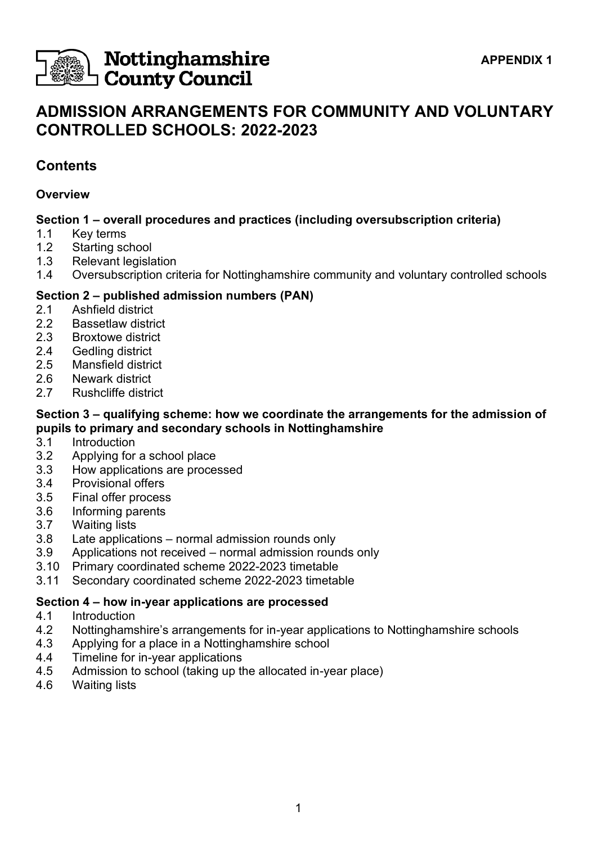

# Nottinghamshire **County Council**

# **ADMISSION ARRANGEMENTS FOR COMMUNITY AND VOLUNTARY CONTROLLED SCHOOLS: 2022-2023**

# **Contents**

## **Overview**

# **Section 1 – overall procedures and practices (including oversubscription criteria)**

- 1.1 Key terms
- 1.2 Starting school
- 1.3 Relevant legislation
- 1.4 Oversubscription criteria for Nottinghamshire community and voluntary controlled schools

# **Section 2 – published admission numbers (PAN)**

- 2.1 Ashfield district
- 2.2 Bassetlaw district
- 2.3 Broxtowe district
- 2.4 Gedling district
- 2.5 Mansfield district
- 2.6 Newark district
- 2.7 Rushcliffe district

## **Section 3 – qualifying scheme: how we coordinate the arrangements for the admission of pupils to primary and secondary schools in Nottinghamshire**

- 3.1 Introduction
- 3.2 Applying for a school place
- 3.3 How applications are processed
- 3.4 Provisional offers
- 3.5 Final offer process
- 3.6 Informing parents
- 3.7 Waiting lists
- 3.8 Late applications normal admission rounds only
- 3.9 Applications not received normal admission rounds only
- 3.10 Primary coordinated scheme 2022-2023 timetable
- 3.11 Secondary coordinated scheme 2022-2023 timetable

# **Section 4 – how in-year applications are processed**

- 4.1 Introduction
- 4.2 Nottinghamshire's arrangements for in-year applications to Nottinghamshire schools
- 4.3 Applying for a place in a Nottinghamshire school
- 4.4 Timeline for in-year applications
- 4.5 Admission to school (taking up the allocated in-year place)
- 4.6 Waiting lists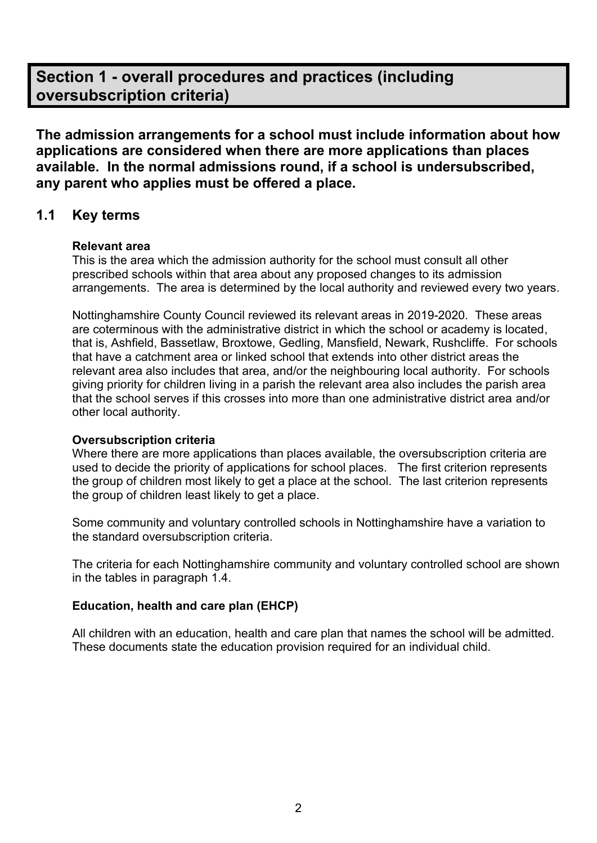# **Section 1 - overall procedures and practices (including oversubscription criteria)**

**The admission arrangements for a school must include information about how applications are considered when there are more applications than places available. In the normal admissions round, if a school is undersubscribed, any parent who applies must be offered a place.**

# **1.1 Key terms**

### **Relevant area**

This is the area which the admission authority for the school must consult all other prescribed schools within that area about any proposed changes to its admission arrangements. The area is determined by the local authority and reviewed every two years.

Nottinghamshire County Council reviewed its relevant areas in 2019-2020. These areas are coterminous with the administrative district in which the school or academy is located, that is, Ashfield, Bassetlaw, Broxtowe, Gedling, Mansfield, Newark, Rushcliffe. For schools that have a catchment area or linked school that extends into other district areas the relevant area also includes that area, and/or the neighbouring local authority. For schools giving priority for children living in a parish the relevant area also includes the parish area that the school serves if this crosses into more than one administrative district area and/or other local authority.

### **Oversubscription criteria**

Where there are more applications than places available, the oversubscription criteria are used to decide the priority of applications for school places. The first criterion represents the group of children most likely to get a place at the school. The last criterion represents the group of children least likely to get a place.

Some community and voluntary controlled schools in Nottinghamshire have a variation to the standard oversubscription criteria.

The criteria for each Nottinghamshire community and voluntary controlled school are shown in the tables in paragraph 1.4.

## **Education, health and care plan (EHCP)**

All children with an education, health and care plan that names the school will be admitted. These documents state the education provision required for an individual child.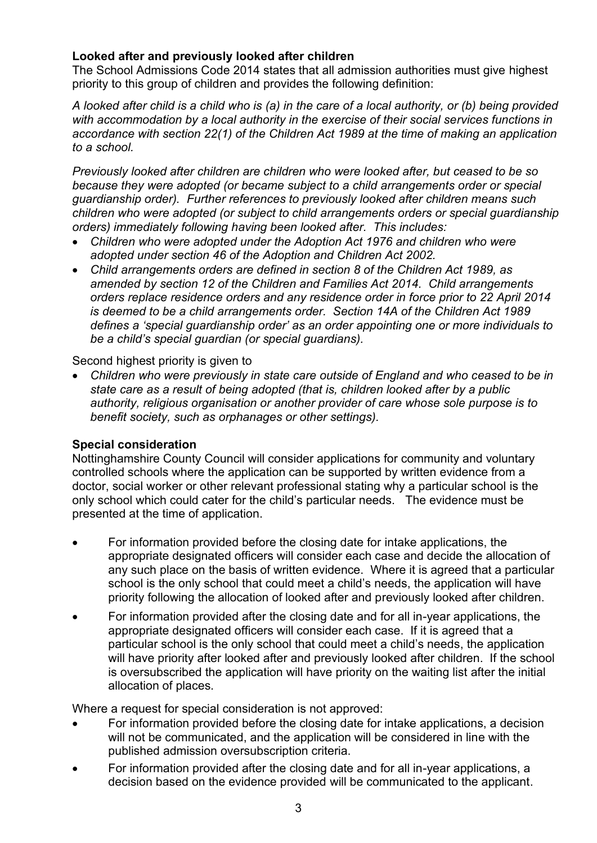## **Looked after and previously looked after children**

The School Admissions Code 2014 states that all admission authorities must give highest priority to this group of children and provides the following definition:

*A looked after child is a child who is (a) in the care of a local authority, or (b) being provided with accommodation by a local authority in the exercise of their social services functions in accordance with section 22(1) of the Children Act 1989 at the time of making an application to a school.* 

*Previously looked after children are children who were looked after, but ceased to be so because they were adopted (or became subject to a child arrangements order or special guardianship order). Further references to previously looked after children means such children who were adopted (or subject to child arrangements orders or special guardianship orders) immediately following having been looked after. This includes:*

- *Children who were adopted under the Adoption Act 1976 and children who were adopted under section 46 of the Adoption and Children Act 2002.*
- *Child arrangements orders are defined in section 8 of the Children Act 1989, as amended by section 12 of the Children and Families Act 2014. Child arrangements orders replace residence orders and any residence order in force prior to 22 April 2014 is deemed to be a child arrangements order. Section 14A of the Children Act 1989 defines a 'special guardianship order' as an order appointing one or more individuals to be a child's special guardian (or special guardians).*

Second highest priority is given to

• *Children who were previously in state care outside of England and who ceased to be in state care as a result of being adopted (that is, children looked after by a public authority, religious organisation or another provider of care whose sole purpose is to benefit society, such as orphanages or other settings).*

### **Special consideration**

Nottinghamshire County Council will consider applications for community and voluntary controlled schools where the application can be supported by written evidence from a doctor, social worker or other relevant professional stating why a particular school is the only school which could cater for the child's particular needs. The evidence must be presented at the time of application.

- For information provided before the closing date for intake applications, the appropriate designated officers will consider each case and decide the allocation of any such place on the basis of written evidence. Where it is agreed that a particular school is the only school that could meet a child's needs, the application will have priority following the allocation of looked after and previously looked after children.
- For information provided after the closing date and for all in-year applications, the appropriate designated officers will consider each case. If it is agreed that a particular school is the only school that could meet a child's needs, the application will have priority after looked after and previously looked after children. If the school is oversubscribed the application will have priority on the waiting list after the initial allocation of places.

Where a request for special consideration is not approved:

- For information provided before the closing date for intake applications, a decision will not be communicated, and the application will be considered in line with the published admission oversubscription criteria.
- For information provided after the closing date and for all in-year applications, a decision based on the evidence provided will be communicated to the applicant.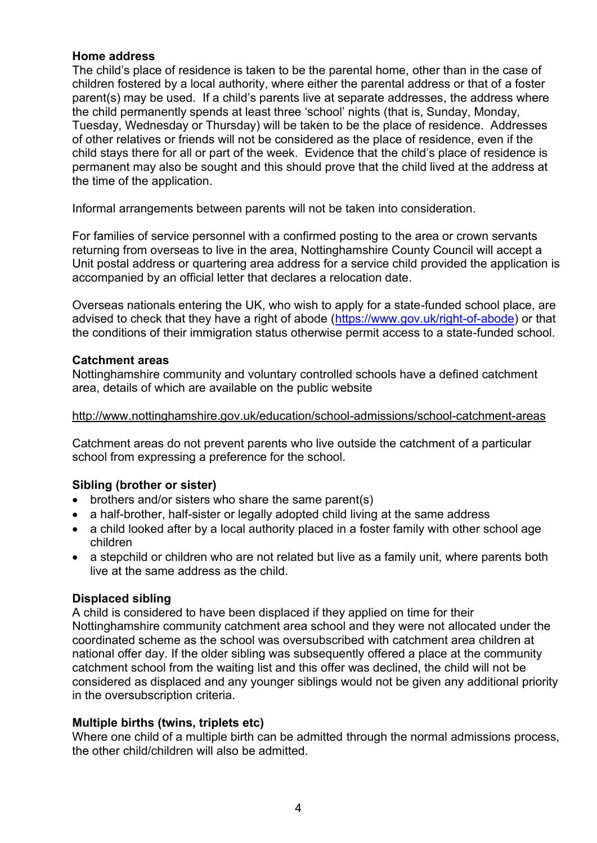### **Home address**

The child's place of residence is taken to be the parental home, other than in the case of children fostered by a local authority, where either the parental address or that of a foster parent(s) may be used. If a child's parents live at separate addresses, the address where the child permanently spends at least three 'school' nights (that is, Sunday, Monday, Tuesday, Wednesday or Thursday) will be taken to be the place of residence. Addresses of other relatives or friends will not be considered as the place of residence, even if the child stays there for all or part of the week. Evidence that the child's place of residence is permanent may also be sought and this should prove that the child lived at the address at the time of the application.

Informal arrangements between parents will not be taken into consideration.

For families of service personnel with a confirmed posting to the area or crown servants returning from overseas to live in the area, Nottinghamshire County Council will accept a Unit postal address or quartering area address for a service child provided the application is accompanied by an official letter that declares a relocation date.

Overseas nationals entering the UK, who wish to apply for a state-funded school place, are advised to check that they have a right of abode [\(https://www.gov.uk/right-of-abode\)](https://www.gov.uk/right-of-abode) or that the conditions of their immigration status otherwise permit access to a state-funded school.

### **Catchment areas**

Nottinghamshire community and voluntary controlled schools have a defined catchment area, details of which are available on the public website

### <http://www.nottinghamshire.gov.uk/education/school-admissions/school-catchment-areas>

Catchment areas do not prevent parents who live outside the catchment of a particular school from expressing a preference for the school.

## **Sibling (brother or sister)**

- brothers and/or sisters who share the same parent(s)
- a half-brother, half-sister or legally adopted child living at the same address
- a child looked after by a local authority placed in a foster family with other school age children
- a stepchild or children who are not related but live as a family unit, where parents both live at the same address as the child.

### **Displaced sibling**

A child is considered to have been displaced if they applied on time for their Nottinghamshire community catchment area school and they were not allocated under the coordinated scheme as the school was oversubscribed with catchment area children at national offer day. If the older sibling was subsequently offered a place at the community catchment school from the waiting list and this offer was declined, the child will not be considered as displaced and any younger siblings would not be given any additional priority in the oversubscription criteria.

### **Multiple births (twins, triplets etc)**

Where one child of a multiple birth can be admitted through the normal admissions process, the other child/children will also be admitted.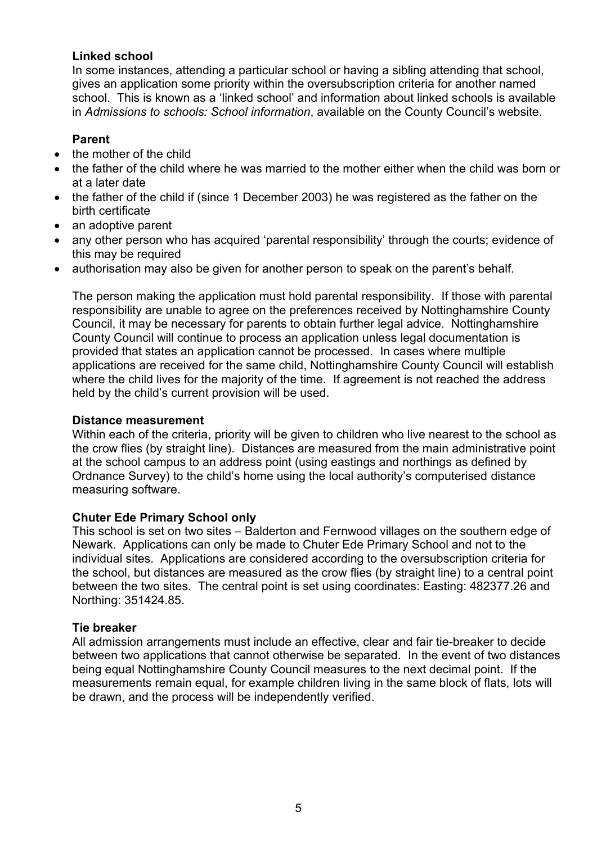### **Linked school**

In some instances, attending a particular school or having a sibling attending that school, gives an application some priority within the oversubscription criteria for another named school. This is known as a 'linked school' and information about linked schools is available in *Admissions to schools: School information*, available on the County Council's website.

### **Parent**

- the mother of the child
- the father of the child where he was married to the mother either when the child was born or at a later date
- the father of the child if (since 1 December 2003) he was registered as the father on the birth certificate
- an adoptive parent
- any other person who has acquired 'parental responsibility' through the courts; evidence of this may be required
- authorisation may also be given for another person to speak on the parent's behalf.

The person making the application must hold parental responsibility. If those with parental responsibility are unable to agree on the preferences received by Nottinghamshire County Council, it may be necessary for parents to obtain further legal advice. Nottinghamshire County Council will continue to process an application unless legal documentation is provided that states an application cannot be processed. In cases where multiple applications are received for the same child, Nottinghamshire County Council will establish where the child lives for the majority of the time. If agreement is not reached the address held by the child's current provision will be used.

### **Distance measurement**

Within each of the criteria, priority will be given to children who live nearest to the school as the crow flies (by straight line). Distances are measured from the main administrative point at the school campus to an address point (using eastings and northings as defined by Ordnance Survey) to the child's home using the local authority's computerised distance measuring software.

### **Chuter Ede Primary School only**

This school is set on two sites – Balderton and Fernwood villages on the southern edge of Newark. Applications can only be made to Chuter Ede Primary School and not to the individual sites. Applications are considered according to the oversubscription criteria for the school, but distances are measured as the crow flies (by straight line) to a central point between the two sites*.* The central point is set using coordinates: Easting: 482377.26 and Northing: 351424.85.

### **Tie breaker**

All admission arrangements must include an effective, clear and fair tie-breaker to decide between two applications that cannot otherwise be separated. In the event of two distances being equal Nottinghamshire County Council measures to the next decimal point. If the measurements remain equal, for example children living in the same block of flats, lots will be drawn, and the process will be independently verified.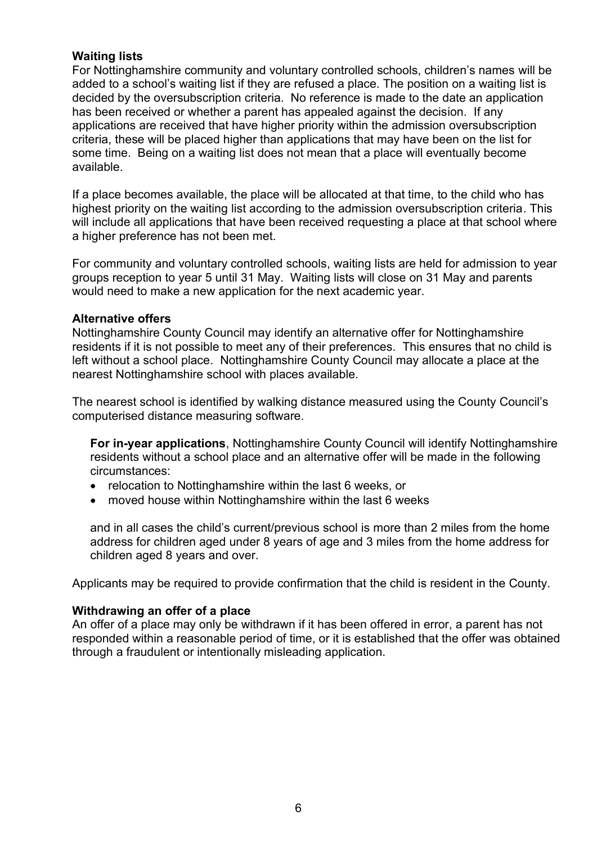### **Waiting lists**

For Nottinghamshire community and voluntary controlled schools, children's names will be added to a school's waiting list if they are refused a place. The position on a waiting list is decided by the oversubscription criteria. No reference is made to the date an application has been received or whether a parent has appealed against the decision. If any applications are received that have higher priority within the admission oversubscription criteria, these will be placed higher than applications that may have been on the list for some time. Being on a waiting list does not mean that a place will eventually become available.

If a place becomes available, the place will be allocated at that time, to the child who has highest priority on the waiting list according to the admission oversubscription criteria. This will include all applications that have been received requesting a place at that school where a higher preference has not been met.

For community and voluntary controlled schools, waiting lists are held for admission to year groups reception to year 5 until 31 May. Waiting lists will close on 31 May and parents would need to make a new application for the next academic year.

### **Alternative offers**

Nottinghamshire County Council may identify an alternative offer for Nottinghamshire residents if it is not possible to meet any of their preferences. This ensures that no child is left without a school place. Nottinghamshire County Council may allocate a place at the nearest Nottinghamshire school with places available.

The nearest school is identified by walking distance measured using the County Council's computerised distance measuring software.

**For in-year applications**, Nottinghamshire County Council will identify Nottinghamshire residents without a school place and an alternative offer will be made in the following circumstances:

- relocation to Nottinghamshire within the last 6 weeks, or
- moved house within Nottinghamshire within the last 6 weeks

and in all cases the child's current/previous school is more than 2 miles from the home address for children aged under 8 years of age and 3 miles from the home address for children aged 8 years and over.

Applicants may be required to provide confirmation that the child is resident in the County.

### **Withdrawing an offer of a place**

An offer of a place may only be withdrawn if it has been offered in error, a parent has not responded within a reasonable period of time, or it is established that the offer was obtained through a fraudulent or intentionally misleading application.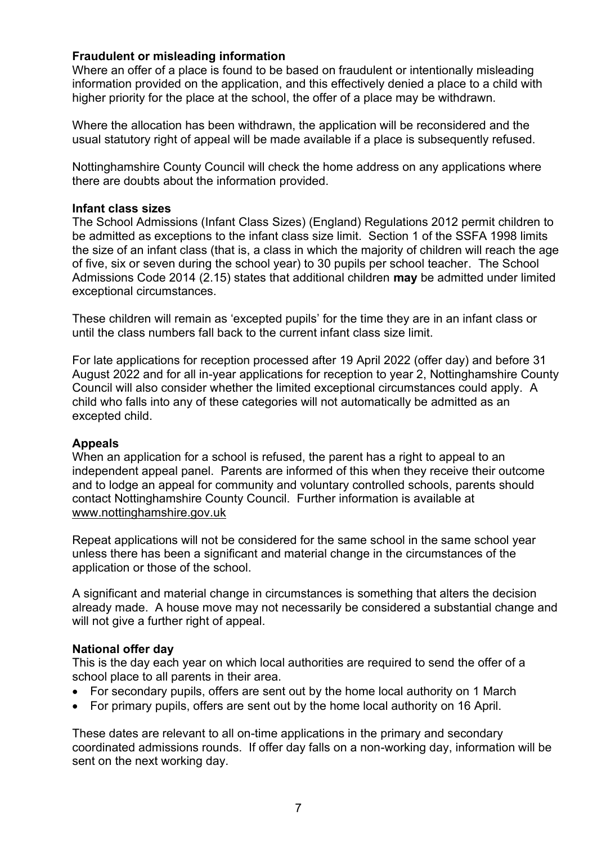### **Fraudulent or misleading information**

Where an offer of a place is found to be based on fraudulent or intentionally misleading information provided on the application, and this effectively denied a place to a child with higher priority for the place at the school, the offer of a place may be withdrawn.

Where the allocation has been withdrawn, the application will be reconsidered and the usual statutory right of appeal will be made available if a place is subsequently refused.

Nottinghamshire County Council will check the home address on any applications where there are doubts about the information provided.

#### **Infant class sizes**

The School Admissions (Infant Class Sizes) (England) Regulations 2012 permit children to be admitted as exceptions to the infant class size limit. Section 1 of the SSFA 1998 limits the size of an infant class (that is, a class in which the majority of children will reach the age of five, six or seven during the school year) to 30 pupils per school teacher. The School Admissions Code 2014 (2.15) states that additional children **may** be admitted under limited exceptional circumstances.

These children will remain as 'excepted pupils' for the time they are in an infant class or until the class numbers fall back to the current infant class size limit.

For late applications for reception processed after 19 April 2022 (offer day) and before 31 August 2022 and for all in-year applications for reception to year 2, Nottinghamshire County Council will also consider whether the limited exceptional circumstances could apply. A child who falls into any of these categories will not automatically be admitted as an excepted child.

### **Appeals**

When an application for a school is refused, the parent has a right to appeal to an independent appeal panel. Parents are informed of this when they receive their outcome and to lodge an appeal for community and voluntary controlled schools, parents should contact Nottinghamshire County Council. Further information is available at [www.nottinghamshire.gov.uk](http://www.nottinghamshire.gov.uk/)

Repeat applications will not be considered for the same school in the same school year unless there has been a significant and material change in the circumstances of the application or those of the school.

A significant and material change in circumstances is something that alters the decision already made. A house move may not necessarily be considered a substantial change and will not give a further right of appeal.

### **National offer day**

This is the day each year on which local authorities are required to send the offer of a school place to all parents in their area.

- For secondary pupils, offers are sent out by the home local authority on 1 March
- For primary pupils, offers are sent out by the home local authority on 16 April.

These dates are relevant to all on-time applications in the primary and secondary coordinated admissions rounds. If offer day falls on a non-working day, information will be sent on the next working day.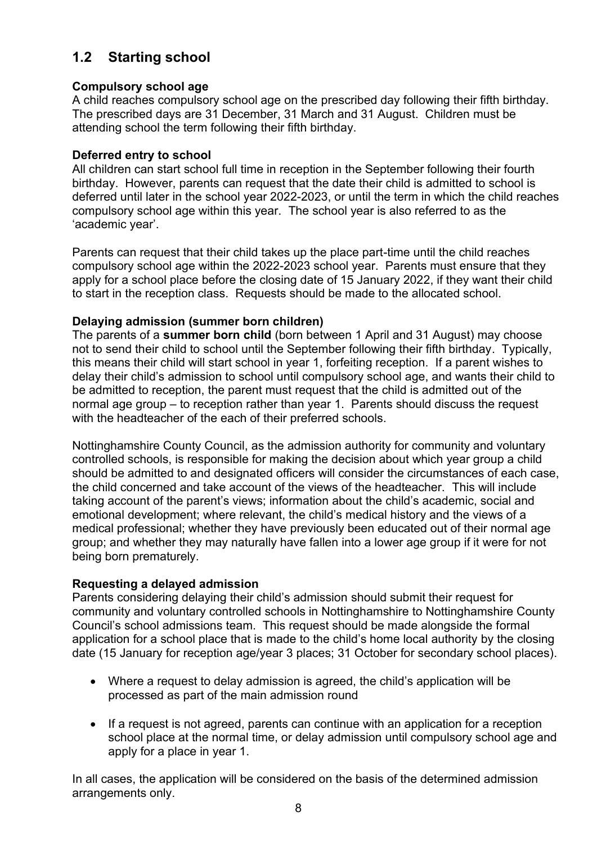# **1.2 Starting school**

## **Compulsory school age**

A child reaches compulsory school age on the prescribed day following their fifth birthday. The prescribed days are 31 December, 31 March and 31 August. Children must be attending school the term following their fifth birthday.

## **Deferred entry to school**

All children can start school full time in reception in the September following their fourth birthday. However, parents can request that the date their child is admitted to school is deferred until later in the school year 2022-2023, or until the term in which the child reaches compulsory school age within this year. The school year is also referred to as the 'academic year'.

Parents can request that their child takes up the place part-time until the child reaches compulsory school age within the 2022-2023 school year. Parents must ensure that they apply for a school place before the closing date of 15 January 2022, if they want their child to start in the reception class. Requests should be made to the allocated school.

# **Delaying admission (summer born children)**

The parents of a **summer born child** (born between 1 April and 31 August) may choose not to send their child to school until the September following their fifth birthday. Typically, this means their child will start school in year 1, forfeiting reception. If a parent wishes to delay their child's admission to school until compulsory school age, and wants their child to be admitted to reception, the parent must request that the child is admitted out of the normal age group – to reception rather than year 1. Parents should discuss the request with the headteacher of the each of their preferred schools.

Nottinghamshire County Council, as the admission authority for community and voluntary controlled schools, is responsible for making the decision about which year group a child should be admitted to and designated officers will consider the circumstances of each case, the child concerned and take account of the views of the headteacher. This will include taking account of the parent's views; information about the child's academic, social and emotional development; where relevant, the child's medical history and the views of a medical professional; whether they have previously been educated out of their normal age group; and whether they may naturally have fallen into a lower age group if it were for not being born prematurely.

## **Requesting a delayed admission**

Parents considering delaying their child's admission should submit their request for community and voluntary controlled schools in Nottinghamshire to Nottinghamshire County Council's school admissions team. This request should be made alongside the formal application for a school place that is made to the child's home local authority by the closing date (15 January for reception age/year 3 places; 31 October for secondary school places).

- Where a request to delay admission is agreed, the child's application will be processed as part of the main admission round
- If a request is not agreed, parents can continue with an application for a reception school place at the normal time, or delay admission until compulsory school age and apply for a place in year 1.

In all cases, the application will be considered on the basis of the determined admission arrangements only.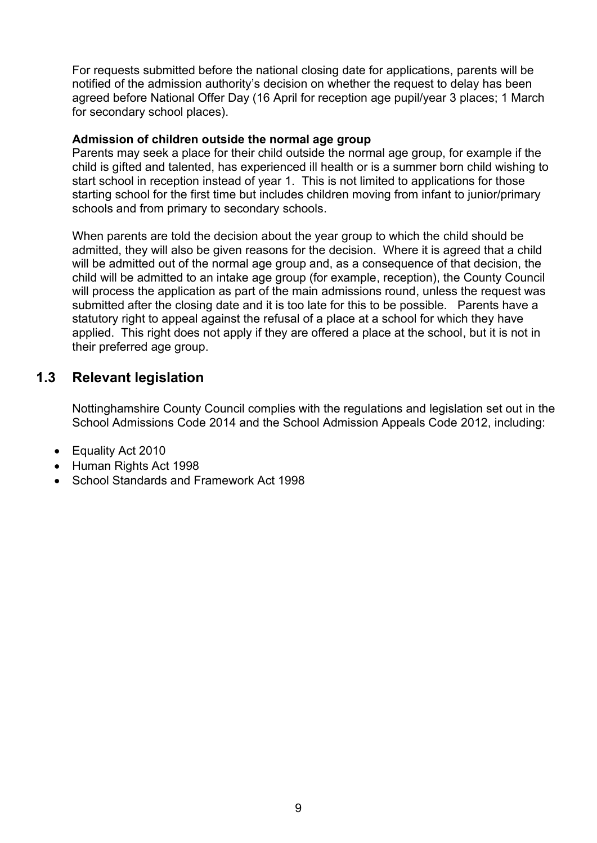For requests submitted before the national closing date for applications, parents will be notified of the admission authority's decision on whether the request to delay has been agreed before National Offer Day (16 April for reception age pupil/year 3 places; 1 March for secondary school places).

#### **Admission of children outside the normal age group**

Parents may seek a place for their child outside the normal age group, for example if the child is gifted and talented, has experienced ill health or is a summer born child wishing to start school in reception instead of year 1. This is not limited to applications for those starting school for the first time but includes children moving from infant to junior/primary schools and from primary to secondary schools.

When parents are told the decision about the year group to which the child should be admitted, they will also be given reasons for the decision. Where it is agreed that a child will be admitted out of the normal age group and, as a consequence of that decision, the child will be admitted to an intake age group (for example, reception), the County Council will process the application as part of the main admissions round, unless the request was submitted after the closing date and it is too late for this to be possible. Parents have a statutory right to appeal against the refusal of a place at a school for which they have applied. This right does not apply if they are offered a place at the school, but it is not in their preferred age group.

# **1.3 Relevant legislation**

Nottinghamshire County Council complies with the regulations and legislation set out in the School Admissions Code 2014 and the School Admission Appeals Code 2012, including:

- Equality Act 2010
- Human Rights Act 1998
- School Standards and Framework Act 1998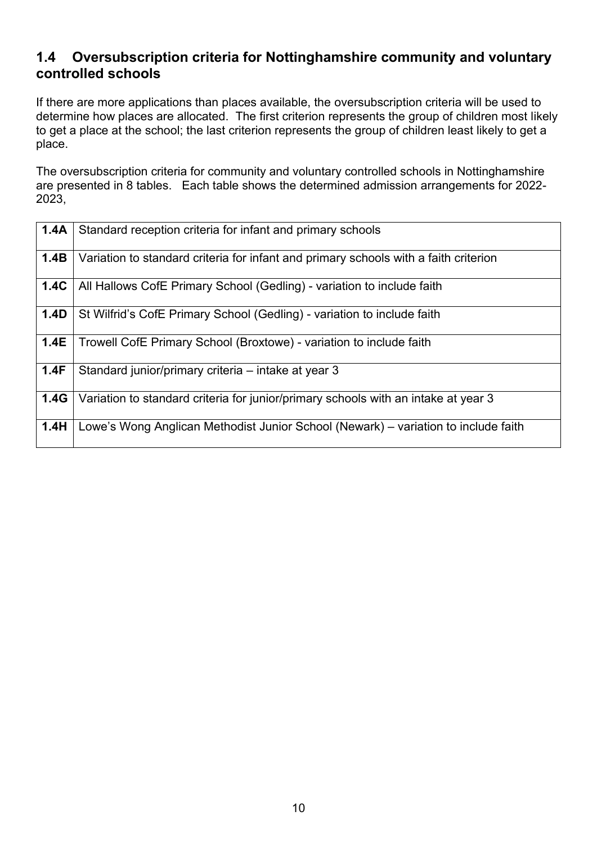# **1.4 Oversubscription criteria for Nottinghamshire community and voluntary controlled schools**

If there are more applications than places available, the oversubscription criteria will be used to determine how places are allocated. The first criterion represents the group of children most likely to get a place at the school; the last criterion represents the group of children least likely to get a place.

The oversubscription criteria for community and voluntary controlled schools in Nottinghamshire are presented in 8 tables. Each table shows the determined admission arrangements for 2022- 2023,

| 1.4A | Standard reception criteria for infant and primary schools                           |
|------|--------------------------------------------------------------------------------------|
| 1.4B | Variation to standard criteria for infant and primary schools with a faith criterion |
| 1.4C | All Hallows CofE Primary School (Gedling) - variation to include faith               |
| 1.4D | St Wilfrid's CofE Primary School (Gedling) - variation to include faith              |
| 1.4E | Trowell CofE Primary School (Broxtowe) - variation to include faith                  |
| 1.4F | Standard junior/primary criteria – intake at year 3                                  |
| 1.4G | Variation to standard criteria for junior/primary schools with an intake at year 3   |
| 1.4H | Lowe's Wong Anglican Methodist Junior School (Newark) – variation to include faith   |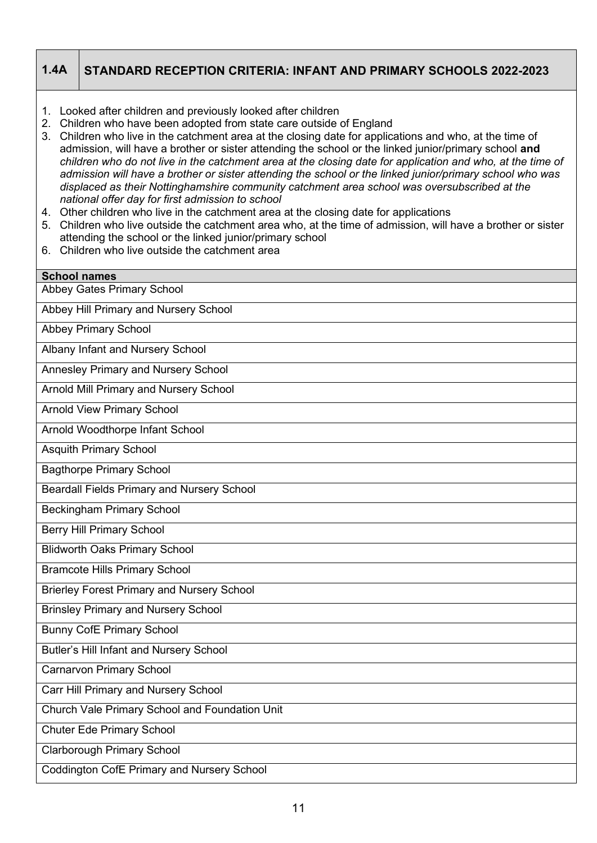# **1.4A STANDARD RECEPTION CRITERIA: INFANT AND PRIMARY SCHOOLS 2022-2023**

- 1. Looked after children and previously looked after children
- 2. Children who have been adopted from state care outside of England
- 3. Children who live in the catchment area at the closing date for applications and who, at the time of admission, will have a brother or sister attending the school or the linked junior/primary school **and**  *children who do not live in the catchment area at the closing date for application and who, at the time of admission will have a brother or sister attending the school or the linked junior/primary school who was displaced as their Nottinghamshire community catchment area school was oversubscribed at the national offer day for first admission to school*
- 4. Other children who live in the catchment area at the closing date for applications
- 5. Children who live outside the catchment area who, at the time of admission, will have a brother or sister attending the school or the linked junior/primary school
- 6. Children who live outside the catchment area

| <b>School names</b>                               |
|---------------------------------------------------|
| <b>Abbey Gates Primary School</b>                 |
|                                                   |
| Abbey Hill Primary and Nursery School             |
| <b>Abbey Primary School</b>                       |
| Albany Infant and Nursery School                  |
| Annesley Primary and Nursery School               |
| Arnold Mill Primary and Nursery School            |
| <b>Arnold View Primary School</b>                 |
| Arnold Woodthorpe Infant School                   |
| <b>Asquith Primary School</b>                     |
| <b>Bagthorpe Primary School</b>                   |
| <b>Beardall Fields Primary and Nursery School</b> |
| <b>Beckingham Primary School</b>                  |
| <b>Berry Hill Primary School</b>                  |
| <b>Blidworth Oaks Primary School</b>              |
| <b>Bramcote Hills Primary School</b>              |
| <b>Brierley Forest Primary and Nursery School</b> |
| <b>Brinsley Primary and Nursery School</b>        |
| <b>Bunny CofE Primary School</b>                  |
| <b>Butler's Hill Infant and Nursery School</b>    |
| <b>Carnarvon Primary School</b>                   |
| Carr Hill Primary and Nursery School              |
| Church Vale Primary School and Foundation Unit    |
| <b>Chuter Ede Primary School</b>                  |
| <b>Clarborough Primary School</b>                 |
| <b>Coddington CofE Primary and Nursery School</b> |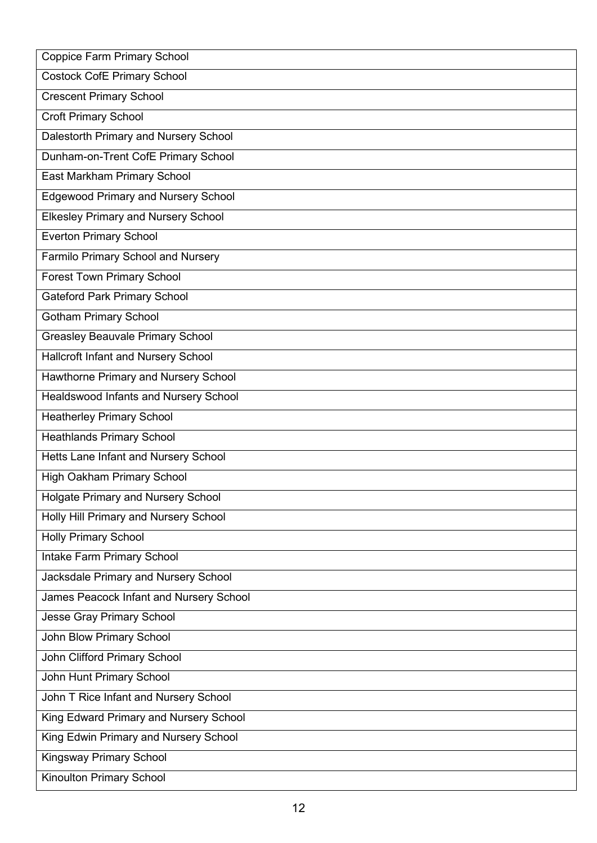| <b>Coppice Farm Primary School</b>         |
|--------------------------------------------|
| <b>Costock CofE Primary School</b>         |
| <b>Crescent Primary School</b>             |
| <b>Croft Primary School</b>                |
| Dalestorth Primary and Nursery School      |
| Dunham-on-Trent CofE Primary School        |
| East Markham Primary School                |
| <b>Edgewood Primary and Nursery School</b> |
| <b>Elkesley Primary and Nursery School</b> |
| <b>Everton Primary School</b>              |
| <b>Farmilo Primary School and Nursery</b>  |
| <b>Forest Town Primary School</b>          |
| <b>Gateford Park Primary School</b>        |
| <b>Gotham Primary School</b>               |
| <b>Greasley Beauvale Primary School</b>    |
| Hallcroft Infant and Nursery School        |
| Hawthorne Primary and Nursery School       |
| Healdswood Infants and Nursery School      |
| <b>Heatherley Primary School</b>           |
| <b>Heathlands Primary School</b>           |
| Hetts Lane Infant and Nursery School       |
| <b>High Oakham Primary School</b>          |
| <b>Holgate Primary and Nursery School</b>  |
| Holly Hill Primary and Nursery School      |
| <b>Holly Primary School</b>                |
| Intake Farm Primary School                 |
| Jacksdale Primary and Nursery School       |
| James Peacock Infant and Nursery School    |
| Jesse Gray Primary School                  |
| John Blow Primary School                   |
| John Clifford Primary School               |
| John Hunt Primary School                   |
| John T Rice Infant and Nursery School      |
| King Edward Primary and Nursery School     |
| King Edwin Primary and Nursery School      |
| <b>Kingsway Primary School</b>             |
| Kinoulton Primary School                   |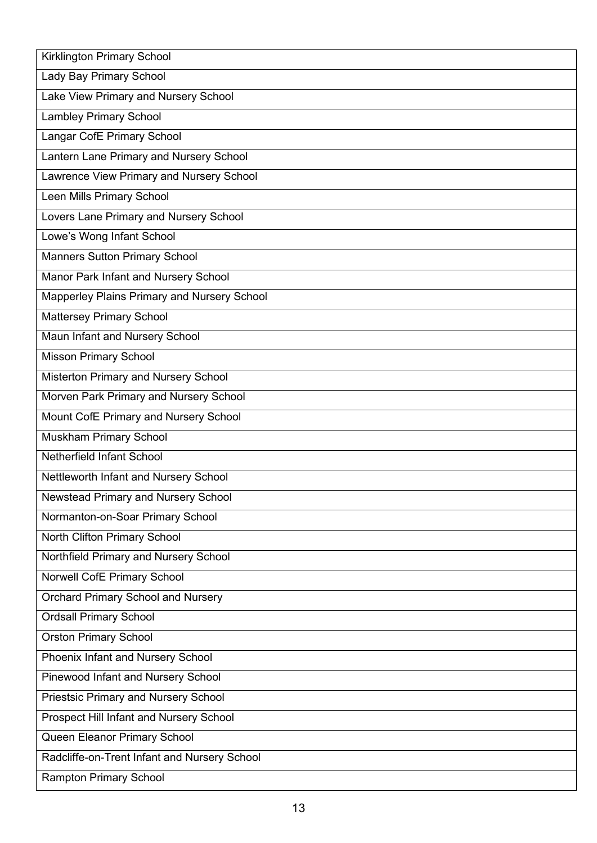| <b>Kirklington Primary School</b>            |
|----------------------------------------------|
| Lady Bay Primary School                      |
| Lake View Primary and Nursery School         |
| <b>Lambley Primary School</b>                |
| Langar CofE Primary School                   |
| Lantern Lane Primary and Nursery School      |
| Lawrence View Primary and Nursery School     |
| Leen Mills Primary School                    |
| Lovers Lane Primary and Nursery School       |
| Lowe's Wong Infant School                    |
| <b>Manners Sutton Primary School</b>         |
| Manor Park Infant and Nursery School         |
| Mapperley Plains Primary and Nursery School  |
| Mattersey Primary School                     |
| Maun Infant and Nursery School               |
| <b>Misson Primary School</b>                 |
| Misterton Primary and Nursery School         |
| Morven Park Primary and Nursery School       |
| Mount CofE Primary and Nursery School        |
| Muskham Primary School                       |
| Netherfield Infant School                    |
| Nettleworth Infant and Nursery School        |
| <b>Newstead Primary and Nursery School</b>   |
| Normanton-on-Soar Primary School             |
| North Clifton Primary School                 |
| Northfield Primary and Nursery School        |
| Norwell CofE Primary School                  |
| <b>Orchard Primary School and Nursery</b>    |
| <b>Ordsall Primary School</b>                |
| <b>Orston Primary School</b>                 |
| Phoenix Infant and Nursery School            |
| Pinewood Infant and Nursery School           |
| <b>Priestsic Primary and Nursery School</b>  |
| Prospect Hill Infant and Nursery School      |
| Queen Eleanor Primary School                 |
| Radcliffe-on-Trent Infant and Nursery School |
| <b>Rampton Primary School</b>                |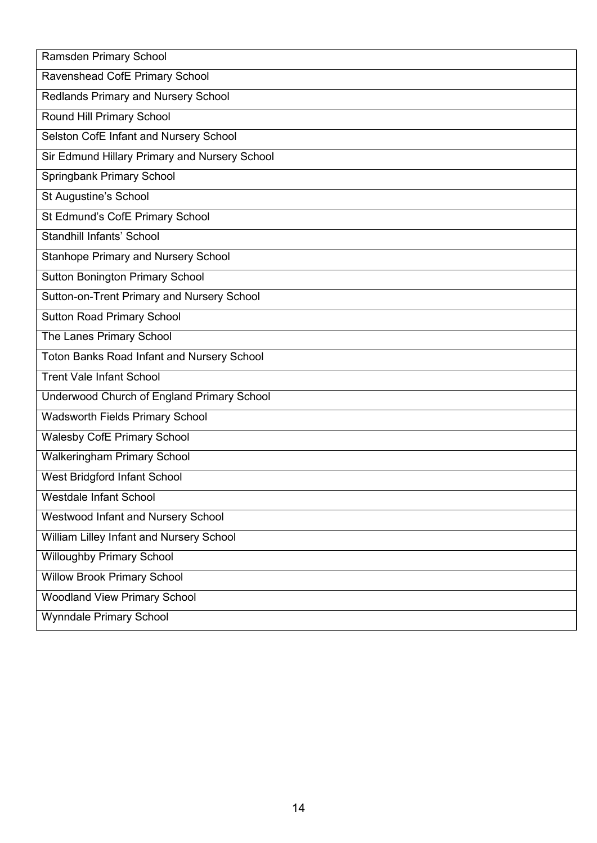| Ramsden Primary School                            |
|---------------------------------------------------|
| Ravenshead CofE Primary School                    |
| Redlands Primary and Nursery School               |
| Round Hill Primary School                         |
| Selston CofE Infant and Nursery School            |
| Sir Edmund Hillary Primary and Nursery School     |
| Springbank Primary School                         |
| St Augustine's School                             |
| St Edmund's CofE Primary School                   |
| <b>Standhill Infants' School</b>                  |
| <b>Stanhope Primary and Nursery School</b>        |
| <b>Sutton Bonington Primary School</b>            |
| Sutton-on-Trent Primary and Nursery School        |
| <b>Sutton Road Primary School</b>                 |
| The Lanes Primary School                          |
| <b>Toton Banks Road Infant and Nursery School</b> |
| <b>Trent Vale Infant School</b>                   |
| Underwood Church of England Primary School        |
| <b>Wadsworth Fields Primary School</b>            |
| <b>Walesby CofE Primary School</b>                |
| <b>Walkeringham Primary School</b>                |
| <b>West Bridgford Infant School</b>               |
| Westdale Infant School                            |
| Westwood Infant and Nursery School                |
| William Lilley Infant and Nursery School          |
| <b>Willoughby Primary School</b>                  |
| <b>Willow Brook Primary School</b>                |
| <b>Woodland View Primary School</b>               |
| <b>Wynndale Primary School</b>                    |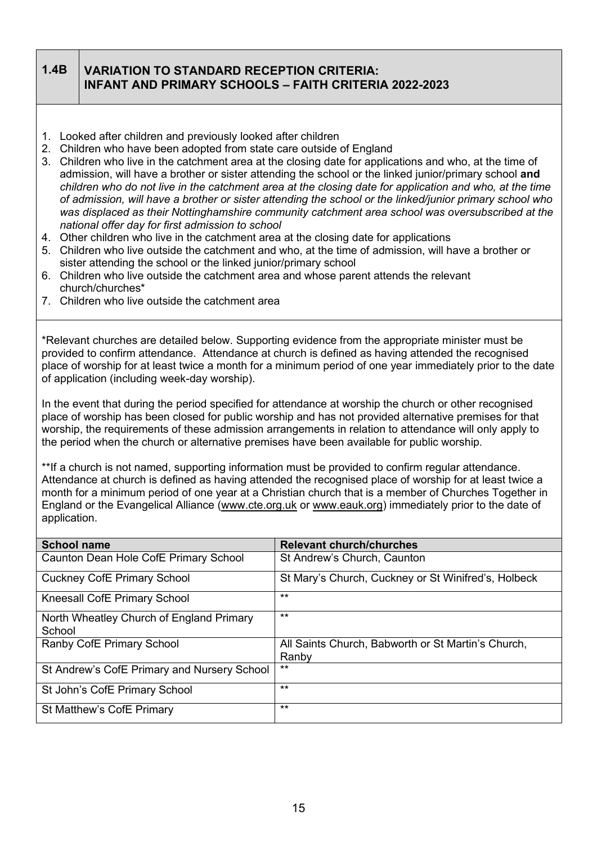### **1.4B VARIATION TO STANDARD RECEPTION CRITERIA: INFANT AND PRIMARY SCHOOLS – FAITH CRITERIA 2022-2023**

- 1. Looked after children and previously looked after children
- 2. Children who have been adopted from state care outside of England
- 3. Children who live in the catchment area at the closing date for applications and who, at the time of admission, will have a brother or sister attending the school or the linked junior/primary school **and**  *children who do not live in the catchment area at the closing date for application and who, at the time of admission, will have a brother or sister attending the school or the linked/junior primary school who was displaced as their Nottinghamshire community catchment area school was oversubscribed at the national offer day for first admission to school*
- 4. Other children who live in the catchment area at the closing date for applications
- 5. Children who live outside the catchment and who, at the time of admission, will have a brother or sister attending the school or the linked junior/primary school
- 6. Children who live outside the catchment area and whose parent attends the relevant church/churches\*
- 7. Children who live outside the catchment area

\*Relevant churches are detailed below. Supporting evidence from the appropriate minister must be provided to confirm attendance. Attendance at church is defined as having attended the recognised place of worship for at least twice a month for a minimum period of one year immediately prior to the date of application (including week-day worship).

In the event that during the period specified for attendance at worship the church or other recognised place of worship has been closed for public worship and has not provided alternative premises for that worship, the requirements of these admission arrangements in relation to attendance will only apply to the period when the church or alternative premises have been available for public worship.

\*\*If a church is not named, supporting information must be provided to confirm regular attendance. Attendance at church is defined as having attended the recognised place of worship for at least twice a month for a minimum period of one year at a Christian church that is a member of Churches Together in England or the Evangelical Alliance [\(www.cte.org.uk](http://www.cte.org.uk/) or [www.eauk.org\)](http://www.eauk.org/) immediately prior to the date of application.

| <b>School name</b>                                 | <b>Relevant church/churches</b>                     |
|----------------------------------------------------|-----------------------------------------------------|
| Caunton Dean Hole CofE Primary School              | St Andrew's Church, Caunton                         |
| <b>Cuckney CofE Primary School</b>                 | St Mary's Church, Cuckney or St Winifred's, Holbeck |
| Kneesall CofE Primary School                       | $***$                                               |
| North Wheatley Church of England Primary<br>School | $***$                                               |
| Ranby CofE Primary School                          | All Saints Church, Babworth or St Martin's Church,  |
|                                                    | Ranby                                               |
| St Andrew's CofE Primary and Nursery School        | $***$                                               |
| St John's CofE Primary School                      | $***$                                               |
| St Matthew's CofE Primary                          | $***$                                               |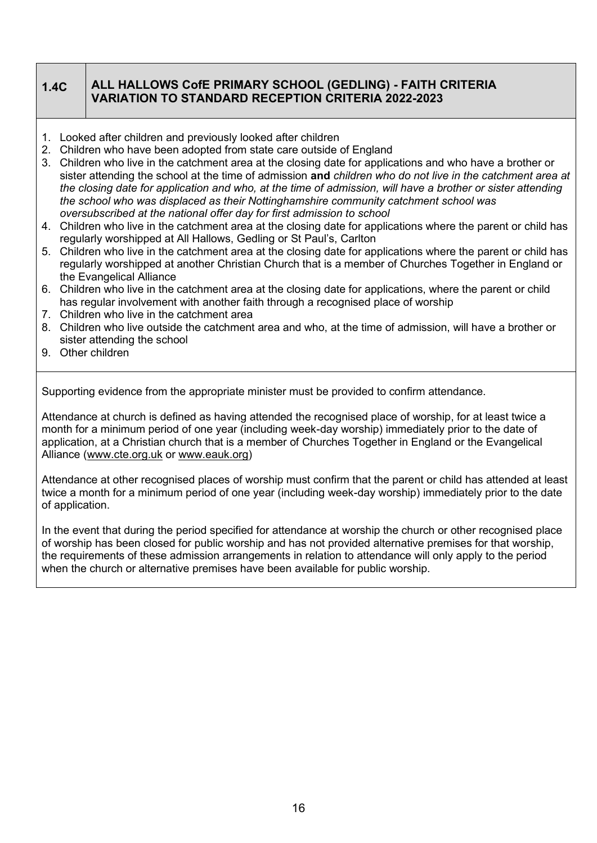# **1.4C ALL HALLOWS CofE PRIMARY SCHOOL (GEDLING) - FAITH CRITERIA VARIATION TO STANDARD RECEPTION CRITERIA 2022-2023**

- 1. Looked after children and previously looked after children
- 2. Children who have been adopted from state care outside of England
- 3. Children who live in the catchment area at the closing date for applications and who have a brother or sister attending the school at the time of admission **and** *children who do not live in the catchment area at the closing date for application and who, at the time of admission, will have a brother or sister attending the school who was displaced as their Nottinghamshire community catchment school was oversubscribed at the national offer day for first admission to school*
- 4. Children who live in the catchment area at the closing date for applications where the parent or child has regularly worshipped at All Hallows, Gedling or St Paul's, Carlton
- 5. Children who live in the catchment area at the closing date for applications where the parent or child has regularly worshipped at another Christian Church that is a member of Churches Together in England or the Evangelical Alliance
- 6. Children who live in the catchment area at the closing date for applications, where the parent or child has regular involvement with another faith through a recognised place of worship
- 7. Children who live in the catchment area
- 8. Children who live outside the catchment area and who, at the time of admission, will have a brother or sister attending the school
- 9. Other children

Supporting evidence from the appropriate minister must be provided to confirm attendance.

Attendance at church is defined as having attended the recognised place of worship, for at least twice a month for a minimum period of one year (including week-day worship) immediately prior to the date of application, at a Christian church that is a member of Churches Together in England or the Evangelical Alliance [\(www.cte.org.uk](http://www.cte.org.uk/) or [www.eauk.org\)](http://www.eauk.org/)

Attendance at other recognised places of worship must confirm that the parent or child has attended at least twice a month for a minimum period of one year (including week-day worship) immediately prior to the date of application.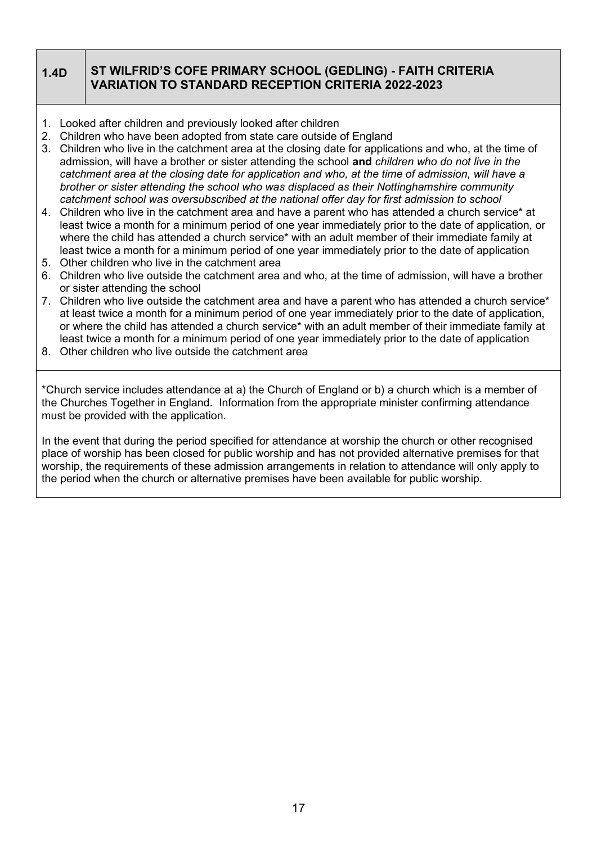# **1.4D ST WILFRID'S COFE PRIMARY SCHOOL (GEDLING) - FAITH CRITERIA VARIATION TO STANDARD RECEPTION CRITERIA 2022-2023**

- 1. Looked after children and previously looked after children
- 2. Children who have been adopted from state care outside of England
- 3. Children who live in the catchment area at the closing date for applications and who, at the time of admission, will have a brother or sister attending the school **and** *children who do not live in the catchment area at the closing date for application and who, at the time of admission, will have a brother or sister attending the school who was displaced as their Nottinghamshire community catchment school was oversubscribed at the national offer day for first admission to school*
- 4. Children who live in the catchment area and have a parent who has attended a church service\* at least twice a month for a minimum period of one year immediately prior to the date of application, or where the child has attended a church service\* with an adult member of their immediate family at least twice a month for a minimum period of one year immediately prior to the date of application
- 5. Other children who live in the catchment area
- 6. Children who live outside the catchment area and who, at the time of admission, will have a brother or sister attending the school
- 7. Children who live outside the catchment area and have a parent who has attended a church service\* at least twice a month for a minimum period of one year immediately prior to the date of application, or where the child has attended a church service\* with an adult member of their immediate family at least twice a month for a minimum period of one year immediately prior to the date of application
- 8. Other children who live outside the catchment area

\*Church service includes attendance at a) the Church of England or b) a church which is a member of the Churches Together in England. Information from the appropriate minister confirming attendance must be provided with the application.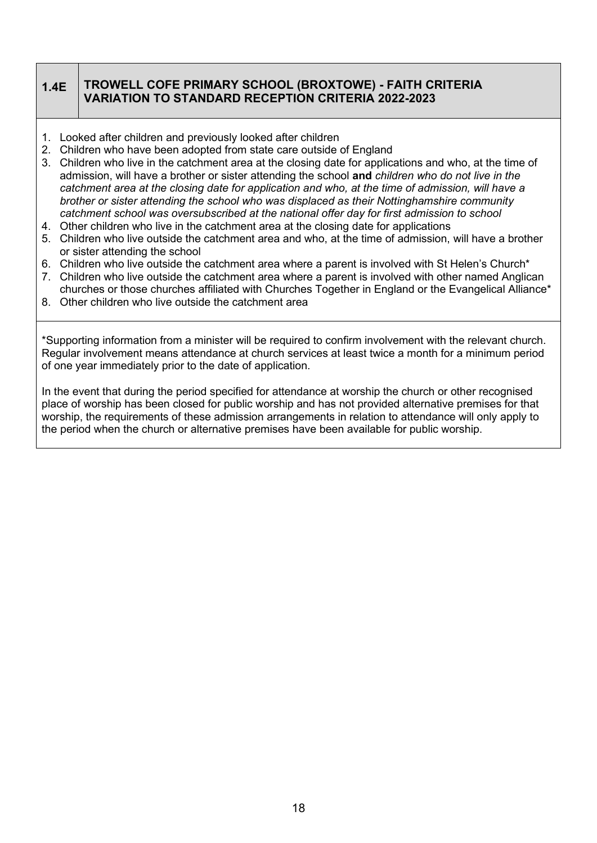# **1.4E TROWELL COFE PRIMARY SCHOOL (BROXTOWE) - FAITH CRITERIA VARIATION TO STANDARD RECEPTION CRITERIA 2022-2023**

- 1. Looked after children and previously looked after children
- 2. Children who have been adopted from state care outside of England
- 3. Children who live in the catchment area at the closing date for applications and who, at the time of admission, will have a brother or sister attending the school **and** *children who do not live in the catchment area at the closing date for application and who, at the time of admission, will have a brother or sister attending the school who was displaced as their Nottinghamshire community catchment school was oversubscribed at the national offer day for first admission to school*
- 4. Other children who live in the catchment area at the closing date for applications
- 5. Children who live outside the catchment area and who, at the time of admission, will have a brother or sister attending the school
- 6. Children who live outside the catchment area where a parent is involved with St Helen's Church\*
- 7. Children who live outside the catchment area where a parent is involved with other named Anglican churches or those churches affiliated with Churches Together in England or the Evangelical Alliance\*
- 8. Other children who live outside the catchment area

\*Supporting information from a minister will be required to confirm involvement with the relevant church. Regular involvement means attendance at church services at least twice a month for a minimum period of one year immediately prior to the date of application.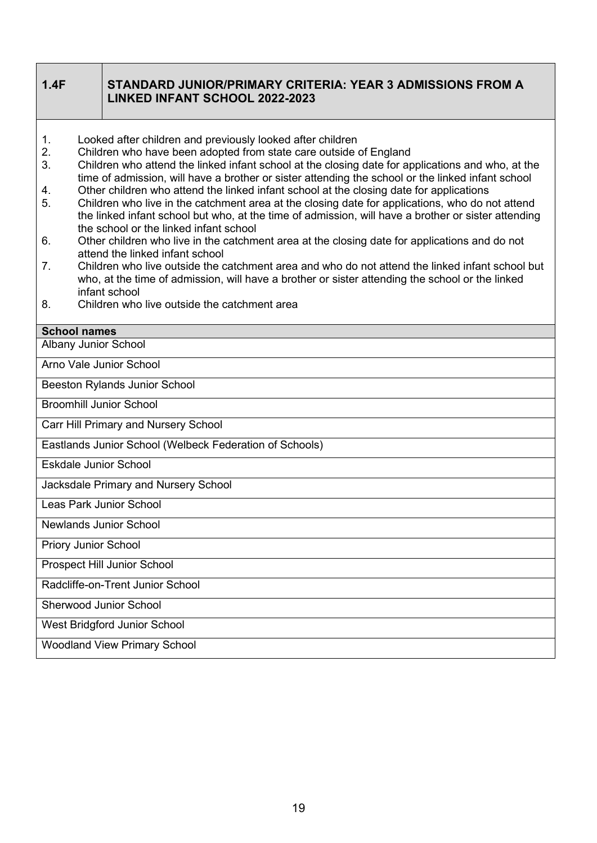| 1.4F                                                                                                                                                                                                                                                                                                                                                                                                                                                                                                                                                                                                                                                                                                                                                                                                                                                                                                                                                                                                                                                                                                                                                            | STANDARD JUNIOR/PRIMARY CRITERIA: YEAR 3 ADMISSIONS FROM A<br><b>LINKED INFANT SCHOOL 2022-2023</b> |  |  |
|-----------------------------------------------------------------------------------------------------------------------------------------------------------------------------------------------------------------------------------------------------------------------------------------------------------------------------------------------------------------------------------------------------------------------------------------------------------------------------------------------------------------------------------------------------------------------------------------------------------------------------------------------------------------------------------------------------------------------------------------------------------------------------------------------------------------------------------------------------------------------------------------------------------------------------------------------------------------------------------------------------------------------------------------------------------------------------------------------------------------------------------------------------------------|-----------------------------------------------------------------------------------------------------|--|--|
| Looked after children and previously looked after children<br>1.<br>2.<br>Children who have been adopted from state care outside of England<br>3.<br>Children who attend the linked infant school at the closing date for applications and who, at the<br>time of admission, will have a brother or sister attending the school or the linked infant school<br>Other children who attend the linked infant school at the closing date for applications<br>4.<br>Children who live in the catchment area at the closing date for applications, who do not attend<br>5.<br>the linked infant school but who, at the time of admission, will have a brother or sister attending<br>the school or the linked infant school<br>Other children who live in the catchment area at the closing date for applications and do not<br>6.<br>attend the linked infant school<br>Children who live outside the catchment area and who do not attend the linked infant school but<br>7 <sub>1</sub><br>who, at the time of admission, will have a brother or sister attending the school or the linked<br>infant school<br>Children who live outside the catchment area<br>8. |                                                                                                     |  |  |
| <b>School names</b>                                                                                                                                                                                                                                                                                                                                                                                                                                                                                                                                                                                                                                                                                                                                                                                                                                                                                                                                                                                                                                                                                                                                             |                                                                                                     |  |  |
| <b>Albany Junior School</b>                                                                                                                                                                                                                                                                                                                                                                                                                                                                                                                                                                                                                                                                                                                                                                                                                                                                                                                                                                                                                                                                                                                                     |                                                                                                     |  |  |
| Arno Vale Junior School                                                                                                                                                                                                                                                                                                                                                                                                                                                                                                                                                                                                                                                                                                                                                                                                                                                                                                                                                                                                                                                                                                                                         |                                                                                                     |  |  |
|                                                                                                                                                                                                                                                                                                                                                                                                                                                                                                                                                                                                                                                                                                                                                                                                                                                                                                                                                                                                                                                                                                                                                                 | Beeston Rylands Junior School                                                                       |  |  |
| <b>Broomhill Junior School</b>                                                                                                                                                                                                                                                                                                                                                                                                                                                                                                                                                                                                                                                                                                                                                                                                                                                                                                                                                                                                                                                                                                                                  |                                                                                                     |  |  |
|                                                                                                                                                                                                                                                                                                                                                                                                                                                                                                                                                                                                                                                                                                                                                                                                                                                                                                                                                                                                                                                                                                                                                                 | Carr Hill Primary and Nursery School                                                                |  |  |
| Eastlands Junior School (Welbeck Federation of Schools)                                                                                                                                                                                                                                                                                                                                                                                                                                                                                                                                                                                                                                                                                                                                                                                                                                                                                                                                                                                                                                                                                                         |                                                                                                     |  |  |
| <b>Eskdale Junior School</b>                                                                                                                                                                                                                                                                                                                                                                                                                                                                                                                                                                                                                                                                                                                                                                                                                                                                                                                                                                                                                                                                                                                                    |                                                                                                     |  |  |
|                                                                                                                                                                                                                                                                                                                                                                                                                                                                                                                                                                                                                                                                                                                                                                                                                                                                                                                                                                                                                                                                                                                                                                 | Jacksdale Primary and Nursery School                                                                |  |  |
| Leas Park Junior School                                                                                                                                                                                                                                                                                                                                                                                                                                                                                                                                                                                                                                                                                                                                                                                                                                                                                                                                                                                                                                                                                                                                         |                                                                                                     |  |  |
| <b>Newlands Junior School</b>                                                                                                                                                                                                                                                                                                                                                                                                                                                                                                                                                                                                                                                                                                                                                                                                                                                                                                                                                                                                                                                                                                                                   |                                                                                                     |  |  |
| <b>Priory Junior School</b>                                                                                                                                                                                                                                                                                                                                                                                                                                                                                                                                                                                                                                                                                                                                                                                                                                                                                                                                                                                                                                                                                                                                     |                                                                                                     |  |  |
| Prospect Hill Junior School                                                                                                                                                                                                                                                                                                                                                                                                                                                                                                                                                                                                                                                                                                                                                                                                                                                                                                                                                                                                                                                                                                                                     |                                                                                                     |  |  |
| Radcliffe-on-Trent Junior School                                                                                                                                                                                                                                                                                                                                                                                                                                                                                                                                                                                                                                                                                                                                                                                                                                                                                                                                                                                                                                                                                                                                |                                                                                                     |  |  |
| <b>Sherwood Junior School</b>                                                                                                                                                                                                                                                                                                                                                                                                                                                                                                                                                                                                                                                                                                                                                                                                                                                                                                                                                                                                                                                                                                                                   |                                                                                                     |  |  |
| West Bridgford Junior School                                                                                                                                                                                                                                                                                                                                                                                                                                                                                                                                                                                                                                                                                                                                                                                                                                                                                                                                                                                                                                                                                                                                    |                                                                                                     |  |  |
| <b>Woodland View Primary School</b>                                                                                                                                                                                                                                                                                                                                                                                                                                                                                                                                                                                                                                                                                                                                                                                                                                                                                                                                                                                                                                                                                                                             |                                                                                                     |  |  |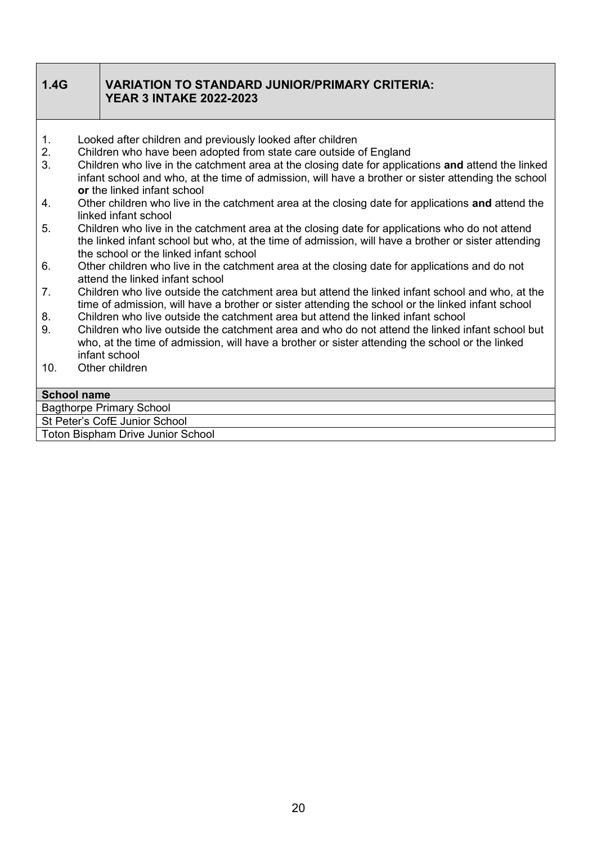| 1.4G               | <b>VARIATION TO STANDARD JUNIOR/PRIMARY CRITERIA:</b><br><b>YEAR 3 INTAKE 2022-2023</b>                                                                                                                                                         |
|--------------------|-------------------------------------------------------------------------------------------------------------------------------------------------------------------------------------------------------------------------------------------------|
| 1.                 | Looked after children and previously looked after children                                                                                                                                                                                      |
| 2.<br>3.           | Children who have been adopted from state care outside of England<br>Children who live in the catchment area at the closing date for applications and attend the linked                                                                         |
|                    | infant school and who, at the time of admission, will have a brother or sister attending the school<br>or the linked infant school                                                                                                              |
| 4.                 | Other children who live in the catchment area at the closing date for applications and attend the<br>linked infant school                                                                                                                       |
| 5.                 | Children who live in the catchment area at the closing date for applications who do not attend<br>the linked infant school but who, at the time of admission, will have a brother or sister attending<br>the school or the linked infant school |
| 6.                 | Other children who live in the catchment area at the closing date for applications and do not<br>attend the linked infant school                                                                                                                |
| 7 <sub>1</sub>     | Children who live outside the catchment area but attend the linked infant school and who, at the<br>time of admission, will have a brother or sister attending the school or the linked infant school                                           |
| 8.                 | Children who live outside the catchment area but attend the linked infant school                                                                                                                                                                |
| 9.                 | Children who live outside the catchment area and who do not attend the linked infant school but<br>who, at the time of admission, will have a brother or sister attending the school or the linked<br>infant school                             |
| 10.                | Other children                                                                                                                                                                                                                                  |
| <b>School name</b> |                                                                                                                                                                                                                                                 |
|                    | <b>Bagthorpe Primary School</b>                                                                                                                                                                                                                 |

St Peter's CofE Junior School

Toton Bispham Drive Junior School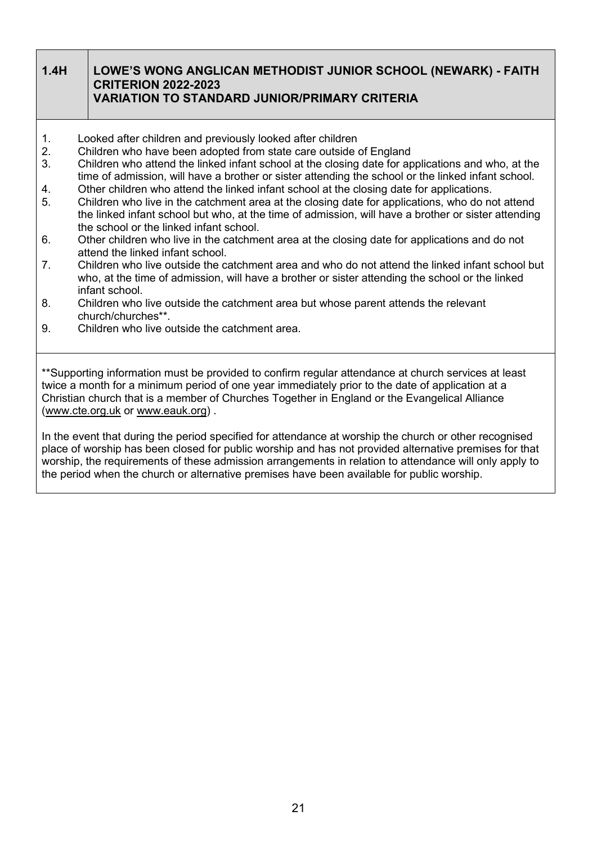## **1.4H LOWE'S WONG ANGLICAN METHODIST JUNIOR SCHOOL (NEWARK) - FAITH CRITERION 2022-2023 VARIATION TO STANDARD JUNIOR/PRIMARY CRITERIA**

- 1. Looked after children and previously looked after children
- 2. Children who have been adopted from state care outside of England
- 3. Children who attend the linked infant school at the closing date for applications and who, at the time of admission, will have a brother or sister attending the school or the linked infant school.
- 4. Other children who attend the linked infant school at the closing date for applications.
- 5. Children who live in the catchment area at the closing date for applications, who do not attend the linked infant school but who, at the time of admission, will have a brother or sister attending the school or the linked infant school.
- 6. Other children who live in the catchment area at the closing date for applications and do not attend the linked infant school.
- 7. Children who live outside the catchment area and who do not attend the linked infant school but who, at the time of admission, will have a brother or sister attending the school or the linked infant school.
- 8. Children who live outside the catchment area but whose parent attends the relevant church/churches\*\*.
- 9. Children who live outside the catchment area.

\*\*Supporting information must be provided to confirm regular attendance at church services at least twice a month for a minimum period of one year immediately prior to the date of application at a Christian church that is a member of Churches Together in England or the Evangelical Alliance [\(www.cte.org.uk](http://www.cte.org.uk/) or [www.eauk.org\)](http://www.eauk.org/) .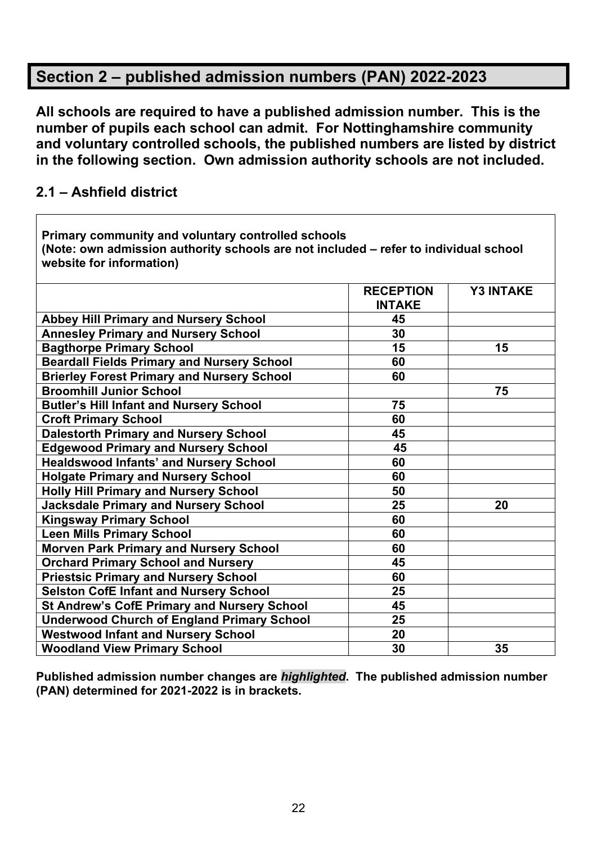# **Section 2 – published admission numbers (PAN) 2022-2023**

**All schools are required to have a published admission number. This is the number of pupils each school can admit. For Nottinghamshire community and voluntary controlled schools, the published numbers are listed by district in the following section. Own admission authority schools are not included.**

# **2.1 – Ashfield district**

**Primary community and voluntary controlled schools (Note: own admission authority schools are not included – refer to individual school website for information) RECEPTION INTAKE Y3 INTAKE Abbey Hill Primary and Nursery School 45 Annesley Primary and Nursery School 30 Bagthorpe Primary School 15 15 15 15 Beardall Fields Primary and Nursery School 60 Brierley Forest Primary and Nursery School 60 Broomhill Junior School 75 Butler's Hill Infant and Nursery School 75 Croft Primary School 60 Dalestorth Primary and Nursery School 45 Edgewood Primary and Nursery School 45 Healdswood Infants' and Nursery School 60 Holgate Primary and Nursery School 60 Holly Hill Primary and Nursery School 50 Jacksdale Primary and Nursery School 25 20 Kingsway Primary School** 60 **Leen Mills Primary School 60 Morven Park Primary and Nursery School 60 Orchard Primary School and Nursery 45 Priestsic Primary and Nursery School 60 Selston CofE Infant and Nursery School 25 St Andrew's CofE Primary and Nursery School 45 Underwood Church of England Primary School 25 Westwood Infant and Nursery School 20 Woodland View Primary School 30 35**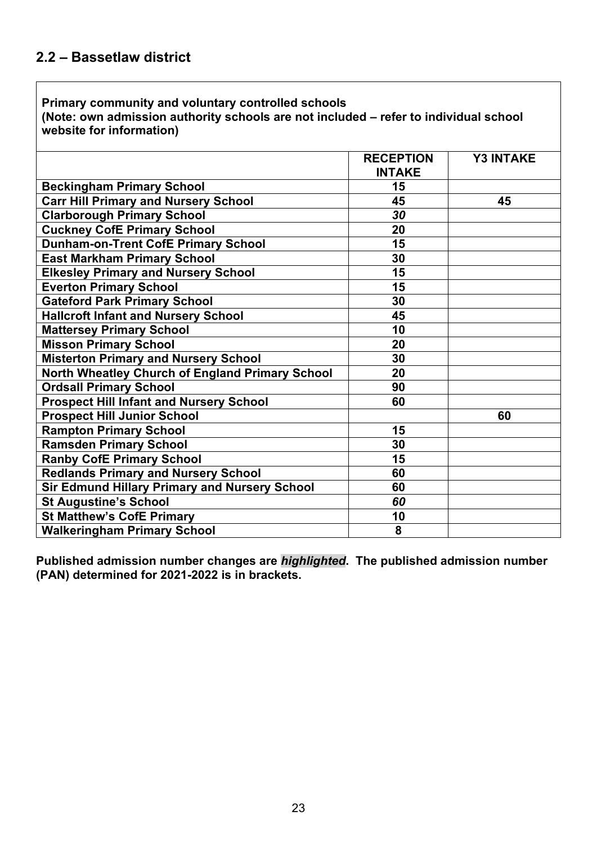**(Note: own admission authority schools are not included – refer to individual school website for information)**

|                                                      | <b>RECEPTION</b><br><b>INTAKE</b> | <b>Y3 INTAKE</b> |
|------------------------------------------------------|-----------------------------------|------------------|
| <b>Beckingham Primary School</b>                     | 15                                |                  |
| <b>Carr Hill Primary and Nursery School</b>          | 45                                | 45               |
| <b>Clarborough Primary School</b>                    | 30                                |                  |
| <b>Cuckney CofE Primary School</b>                   | 20                                |                  |
| <b>Dunham-on-Trent CofE Primary School</b>           | 15                                |                  |
| <b>East Markham Primary School</b>                   | 30                                |                  |
| <b>Elkesley Primary and Nursery School</b>           | 15                                |                  |
| <b>Everton Primary School</b>                        | 15                                |                  |
| <b>Gateford Park Primary School</b>                  | 30                                |                  |
| <b>Hallcroft Infant and Nursery School</b>           | 45                                |                  |
| <b>Mattersey Primary School</b>                      | 10                                |                  |
| <b>Misson Primary School</b>                         | 20                                |                  |
| <b>Misterton Primary and Nursery School</b>          | 30                                |                  |
| North Wheatley Church of England Primary School      | 20                                |                  |
| <b>Ordsall Primary School</b>                        | 90                                |                  |
| <b>Prospect Hill Infant and Nursery School</b>       | 60                                |                  |
| <b>Prospect Hill Junior School</b>                   |                                   | 60               |
| <b>Rampton Primary School</b>                        | 15                                |                  |
| <b>Ramsden Primary School</b>                        | 30                                |                  |
| <b>Ranby CofE Primary School</b>                     | 15                                |                  |
| <b>Redlands Primary and Nursery School</b>           | 60                                |                  |
| <b>Sir Edmund Hillary Primary and Nursery School</b> | 60                                |                  |
| <b>St Augustine's School</b>                         | 60                                |                  |
| <b>St Matthew's CofE Primary</b>                     | 10                                |                  |
| <b>Walkeringham Primary School</b>                   | 8                                 |                  |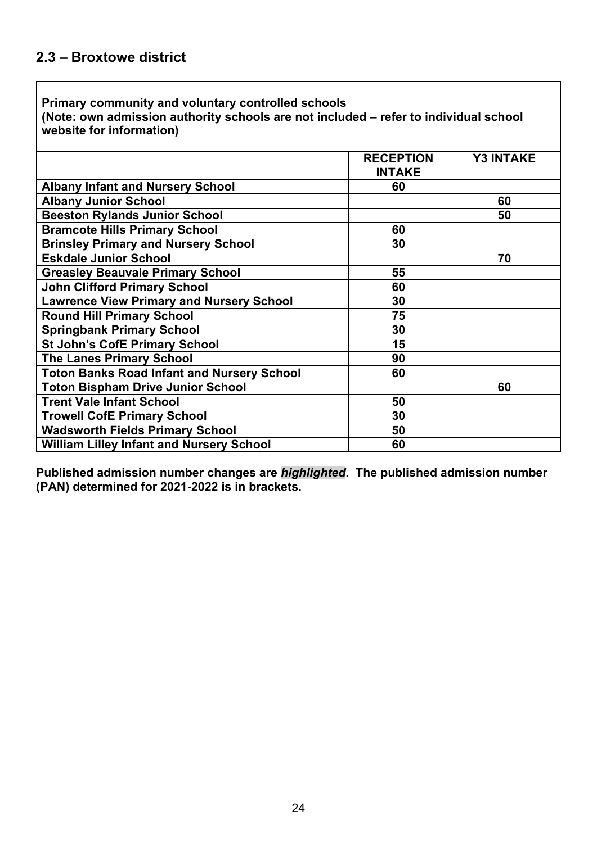**(Note: own admission authority schools are not included – refer to individual school website for information)**

|                                                   | <b>RECEPTION</b><br><b>INTAKE</b> | <b>Y3 INTAKE</b> |
|---------------------------------------------------|-----------------------------------|------------------|
| <b>Albany Infant and Nursery School</b>           | 60                                |                  |
| <b>Albany Junior School</b>                       |                                   | 60               |
| <b>Beeston Rylands Junior School</b>              |                                   | 50               |
| <b>Bramcote Hills Primary School</b>              | 60                                |                  |
| <b>Brinsley Primary and Nursery School</b>        | 30                                |                  |
| <b>Eskdale Junior School</b>                      |                                   | 70               |
| <b>Greasley Beauvale Primary School</b>           | 55                                |                  |
| <b>John Clifford Primary School</b>               | 60                                |                  |
| <b>Lawrence View Primary and Nursery School</b>   | 30                                |                  |
| <b>Round Hill Primary School</b>                  | 75                                |                  |
| <b>Springbank Primary School</b>                  | 30                                |                  |
| <b>St John's CofE Primary School</b>              | 15                                |                  |
| <b>The Lanes Primary School</b>                   | 90                                |                  |
| <b>Toton Banks Road Infant and Nursery School</b> | 60                                |                  |
| <b>Toton Bispham Drive Junior School</b>          |                                   | 60               |
| <b>Trent Vale Infant School</b>                   | 50                                |                  |
| <b>Trowell CofE Primary School</b>                | 30                                |                  |
| <b>Wadsworth Fields Primary School</b>            | 50                                |                  |
| <b>William Lilley Infant and Nursery School</b>   | 60                                |                  |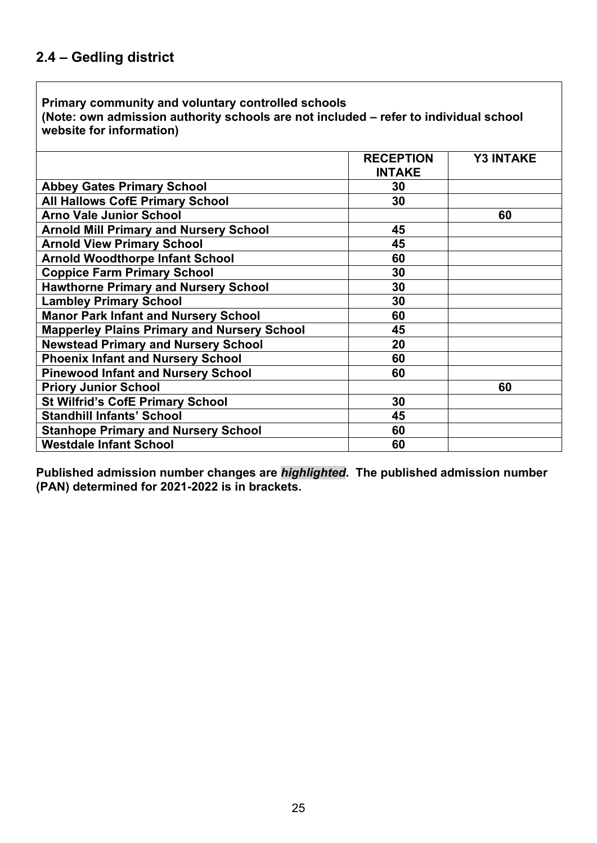**(Note: own admission authority schools are not included – refer to individual school website for information)**

|                                                    | <b>RECEPTION</b> | <b>Y3 INTAKE</b> |
|----------------------------------------------------|------------------|------------------|
|                                                    | <b>INTAKE</b>    |                  |
| <b>Abbey Gates Primary School</b>                  | 30               |                  |
| <b>All Hallows CofE Primary School</b>             | 30               |                  |
| <b>Arno Vale Junior School</b>                     |                  | 60               |
| <b>Arnold Mill Primary and Nursery School</b>      | 45               |                  |
| <b>Arnold View Primary School</b>                  | 45               |                  |
| <b>Arnold Woodthorpe Infant School</b>             | 60               |                  |
| <b>Coppice Farm Primary School</b>                 | 30               |                  |
| <b>Hawthorne Primary and Nursery School</b>        | 30               |                  |
| <b>Lambley Primary School</b>                      | 30               |                  |
| <b>Manor Park Infant and Nursery School</b>        | 60               |                  |
| <b>Mapperley Plains Primary and Nursery School</b> | 45               |                  |
| <b>Newstead Primary and Nursery School</b>         | 20               |                  |
| <b>Phoenix Infant and Nursery School</b>           | 60               |                  |
| <b>Pinewood Infant and Nursery School</b>          | 60               |                  |
| <b>Priory Junior School</b>                        |                  | 60               |
| <b>St Wilfrid's CofE Primary School</b>            | 30               |                  |
| <b>Standhill Infants' School</b>                   | 45               |                  |
| <b>Stanhope Primary and Nursery School</b>         | 60               |                  |
| <b>Westdale Infant School</b>                      | 60               |                  |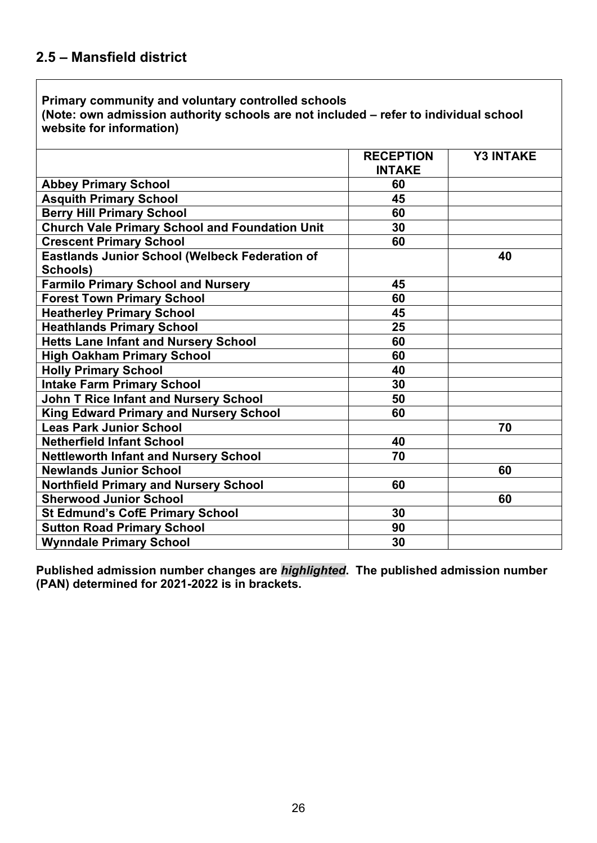**(Note: own admission authority schools are not included – refer to individual school website for information)**

|                                                       | <b>RECEPTION</b><br><b>INTAKE</b> | <b>Y3 INTAKE</b> |
|-------------------------------------------------------|-----------------------------------|------------------|
| <b>Abbey Primary School</b>                           | 60                                |                  |
| <b>Asquith Primary School</b>                         | 45                                |                  |
| <b>Berry Hill Primary School</b>                      | 60                                |                  |
| <b>Church Vale Primary School and Foundation Unit</b> | 30                                |                  |
| <b>Crescent Primary School</b>                        | 60                                |                  |
| <b>Eastlands Junior School (Welbeck Federation of</b> |                                   | 40               |
| Schools)                                              |                                   |                  |
| <b>Farmilo Primary School and Nursery</b>             | 45                                |                  |
| <b>Forest Town Primary School</b>                     | 60                                |                  |
| <b>Heatherley Primary School</b>                      | 45                                |                  |
| <b>Heathlands Primary School</b>                      | 25                                |                  |
| <b>Hetts Lane Infant and Nursery School</b>           | 60                                |                  |
| <b>High Oakham Primary School</b>                     | 60                                |                  |
| <b>Holly Primary School</b>                           | 40                                |                  |
| <b>Intake Farm Primary School</b>                     | 30                                |                  |
| <b>John T Rice Infant and Nursery School</b>          | 50                                |                  |
| <b>King Edward Primary and Nursery School</b>         | 60                                |                  |
| <b>Leas Park Junior School</b>                        |                                   | 70               |
| <b>Netherfield Infant School</b>                      | 40                                |                  |
| <b>Nettleworth Infant and Nursery School</b>          | 70                                |                  |
| <b>Newlands Junior School</b>                         |                                   | 60               |
| <b>Northfield Primary and Nursery School</b>          | 60                                |                  |
| <b>Sherwood Junior School</b>                         |                                   | 60               |
| <b>St Edmund's CofE Primary School</b>                | 30                                |                  |
| <b>Sutton Road Primary School</b>                     | 90                                |                  |
| <b>Wynndale Primary School</b>                        | 30                                |                  |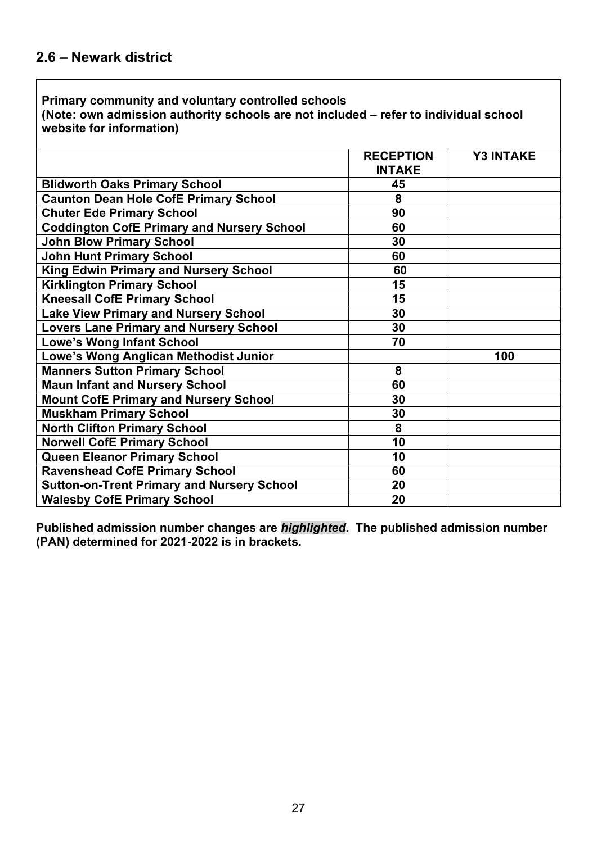**(Note: own admission authority schools are not included – refer to individual school website for information)**

|                                                   | <b>RECEPTION</b><br><b>INTAKE</b> | <b>Y3 INTAKE</b> |
|---------------------------------------------------|-----------------------------------|------------------|
| <b>Blidworth Oaks Primary School</b>              | 45                                |                  |
| <b>Caunton Dean Hole CofE Primary School</b>      | 8                                 |                  |
| <b>Chuter Ede Primary School</b>                  | 90                                |                  |
| <b>Coddington CofE Primary and Nursery School</b> | 60                                |                  |
| <b>John Blow Primary School</b>                   | 30                                |                  |
| <b>John Hunt Primary School</b>                   | 60                                |                  |
| <b>King Edwin Primary and Nursery School</b>      | 60                                |                  |
| <b>Kirklington Primary School</b>                 | 15                                |                  |
| <b>Kneesall CofE Primary School</b>               | 15                                |                  |
| <b>Lake View Primary and Nursery School</b>       | 30                                |                  |
| <b>Lovers Lane Primary and Nursery School</b>     | 30                                |                  |
| <b>Lowe's Wong Infant School</b>                  | 70                                |                  |
| Lowe's Wong Anglican Methodist Junior             |                                   | 100              |
| <b>Manners Sutton Primary School</b>              | 8                                 |                  |
| <b>Maun Infant and Nursery School</b>             | 60                                |                  |
| <b>Mount CofE Primary and Nursery School</b>      | 30                                |                  |
| <b>Muskham Primary School</b>                     | 30                                |                  |
| <b>North Clifton Primary School</b>               | 8                                 |                  |
| <b>Norwell CofE Primary School</b>                | 10                                |                  |
| <b>Queen Eleanor Primary School</b>               | 10                                |                  |
| <b>Ravenshead CofE Primary School</b>             | 60                                |                  |
| <b>Sutton-on-Trent Primary and Nursery School</b> | 20                                |                  |
| <b>Walesby CofE Primary School</b>                | 20                                |                  |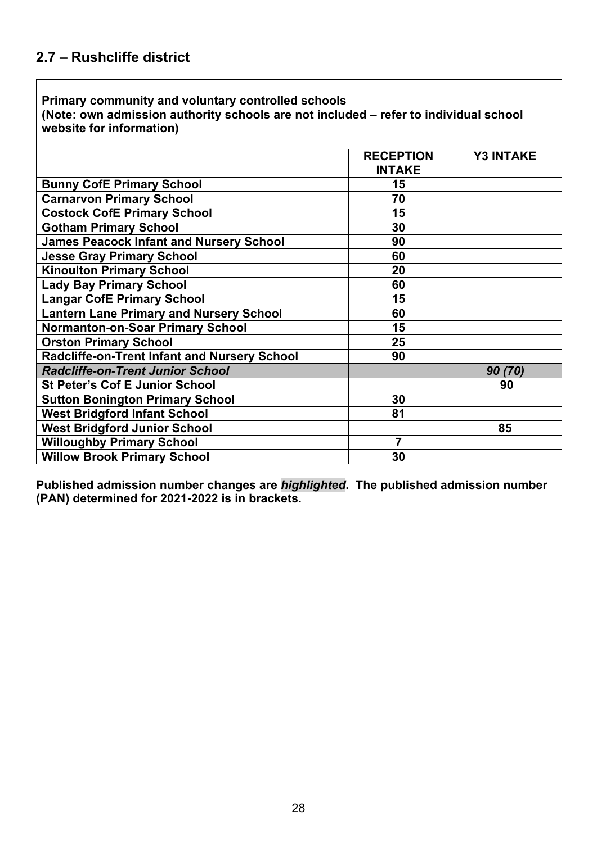**(Note: own admission authority schools are not included – refer to individual school website for information)**

|                                                | <b>RECEPTION</b> | <b>Y3 INTAKE</b> |
|------------------------------------------------|------------------|------------------|
|                                                | <b>INTAKE</b>    |                  |
| <b>Bunny CofE Primary School</b>               | 15               |                  |
| <b>Carnarvon Primary School</b>                | 70               |                  |
| <b>Costock CofE Primary School</b>             | 15               |                  |
| <b>Gotham Primary School</b>                   | 30               |                  |
| <b>James Peacock Infant and Nursery School</b> | 90               |                  |
| <b>Jesse Gray Primary School</b>               | 60               |                  |
| <b>Kinoulton Primary School</b>                | 20               |                  |
| <b>Lady Bay Primary School</b>                 | 60               |                  |
| <b>Langar CofE Primary School</b>              | 15               |                  |
| <b>Lantern Lane Primary and Nursery School</b> | 60               |                  |
| <b>Normanton-on-Soar Primary School</b>        | 15               |                  |
| <b>Orston Primary School</b>                   | 25               |                  |
| Radcliffe-on-Trent Infant and Nursery School   | 90               |                  |
| <b>Radcliffe-on-Trent Junior School</b>        |                  | 90(70)           |
| <b>St Peter's Cof E Junior School</b>          |                  | 90               |
| <b>Sutton Bonington Primary School</b>         | 30               |                  |
| <b>West Bridgford Infant School</b>            | 81               |                  |
| <b>West Bridgford Junior School</b>            |                  | 85               |
| <b>Willoughby Primary School</b>               | $\overline{7}$   |                  |
| <b>Willow Brook Primary School</b>             | 30               |                  |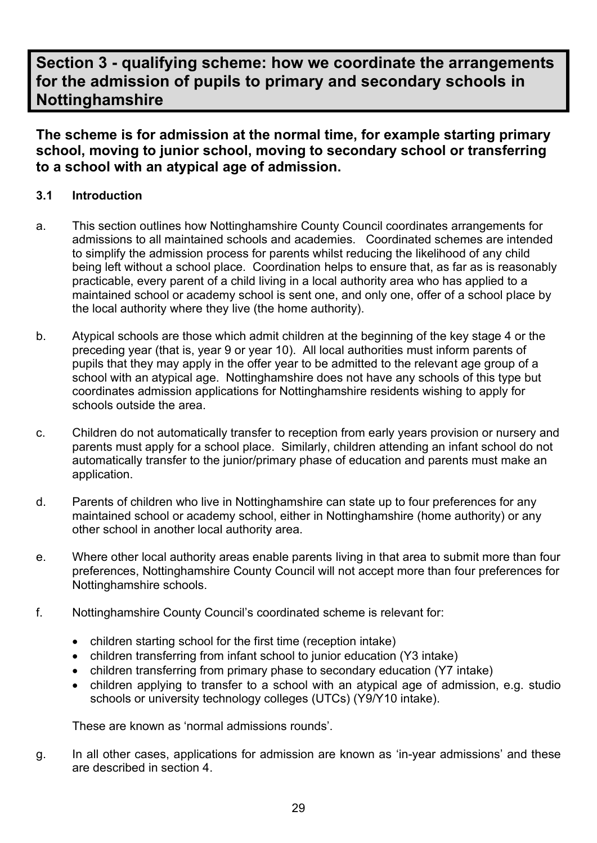# **Section 3 - qualifying scheme: how we coordinate the arrangements for the admission of pupils to primary and secondary schools in Nottinghamshire**

**The scheme is for admission at the normal time, for example starting primary school, moving to junior school, moving to secondary school or transferring to a school with an atypical age of admission.**

# **3.1 Introduction**

- a. This section outlines how Nottinghamshire County Council coordinates arrangements for admissions to all maintained schools and academies. Coordinated schemes are intended to simplify the admission process for parents whilst reducing the likelihood of any child being left without a school place. Coordination helps to ensure that, as far as is reasonably practicable, every parent of a child living in a local authority area who has applied to a maintained school or academy school is sent one, and only one, offer of a school place by the local authority where they live (the home authority).
- b. Atypical schools are those which admit children at the beginning of the key stage 4 or the preceding year (that is, year 9 or year 10). All local authorities must inform parents of pupils that they may apply in the offer year to be admitted to the relevant age group of a school with an atypical age. Nottinghamshire does not have any schools of this type but coordinates admission applications for Nottinghamshire residents wishing to apply for schools outside the area.
- c. Children do not automatically transfer to reception from early years provision or nursery and parents must apply for a school place. Similarly, children attending an infant school do not automatically transfer to the junior/primary phase of education and parents must make an application.
- d. Parents of children who live in Nottinghamshire can state up to four preferences for any maintained school or academy school, either in Nottinghamshire (home authority) or any other school in another local authority area.
- e. Where other local authority areas enable parents living in that area to submit more than four preferences, Nottinghamshire County Council will not accept more than four preferences for Nottinghamshire schools.
- f. Nottinghamshire County Council's coordinated scheme is relevant for:
	- children starting school for the first time (reception intake)
	- children transferring from infant school to junior education (Y3 intake)
	- children transferring from primary phase to secondary education (Y7 intake)
	- children applying to transfer to a school with an atypical age of admission, e.g. studio schools or university technology colleges (UTCs) (Y9/Y10 intake).

These are known as 'normal admissions rounds'.

g. In all other cases, applications for admission are known as 'in-year admissions' and these are described in section 4.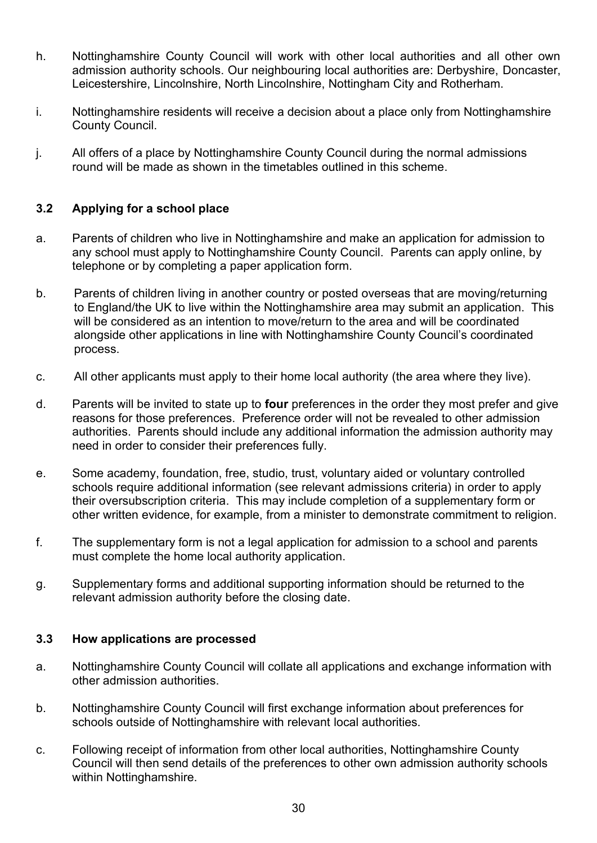- h. Nottinghamshire County Council will work with other local authorities and all other own admission authority schools. Our neighbouring local authorities are: Derbyshire, Doncaster, Leicestershire, Lincolnshire, North Lincolnshire, Nottingham City and Rotherham.
- i. Nottinghamshire residents will receive a decision about a place only from Nottinghamshire County Council.
- j. All offers of a place by Nottinghamshire County Council during the normal admissions round will be made as shown in the timetables outlined in this scheme.

# **3.2 Applying for a school place**

- a. Parents of children who live in Nottinghamshire and make an application for admission to any school must apply to Nottinghamshire County Council. Parents can apply online, by telephone or by completing a paper application form.
- b. Parents of children living in another country or posted overseas that are moving/returning to England/the UK to live within the Nottinghamshire area may submit an application. This will be considered as an intention to move/return to the area and will be coordinated alongside other applications in line with Nottinghamshire County Council's coordinated process.
- c. All other applicants must apply to their home local authority (the area where they live).
- d. Parents will be invited to state up to **four** preferences in the order they most prefer and give reasons for those preferences. Preference order will not be revealed to other admission authorities. Parents should include any additional information the admission authority may need in order to consider their preferences fully.
- e. Some academy, foundation, free, studio, trust, voluntary aided or voluntary controlled schools require additional information (see relevant admissions criteria) in order to apply their oversubscription criteria. This may include completion of a supplementary form or other written evidence, for example, from a minister to demonstrate commitment to religion.
- f. The supplementary form is not a legal application for admission to a school and parents must complete the home local authority application.
- g. Supplementary forms and additional supporting information should be returned to the relevant admission authority before the closing date.

### **3.3 How applications are processed**

- a. Nottinghamshire County Council will collate all applications and exchange information with other admission authorities.
- b. Nottinghamshire County Council will first exchange information about preferences for schools outside of Nottinghamshire with relevant local authorities.
- c. Following receipt of information from other local authorities, Nottinghamshire County Council will then send details of the preferences to other own admission authority schools within Nottinghamshire.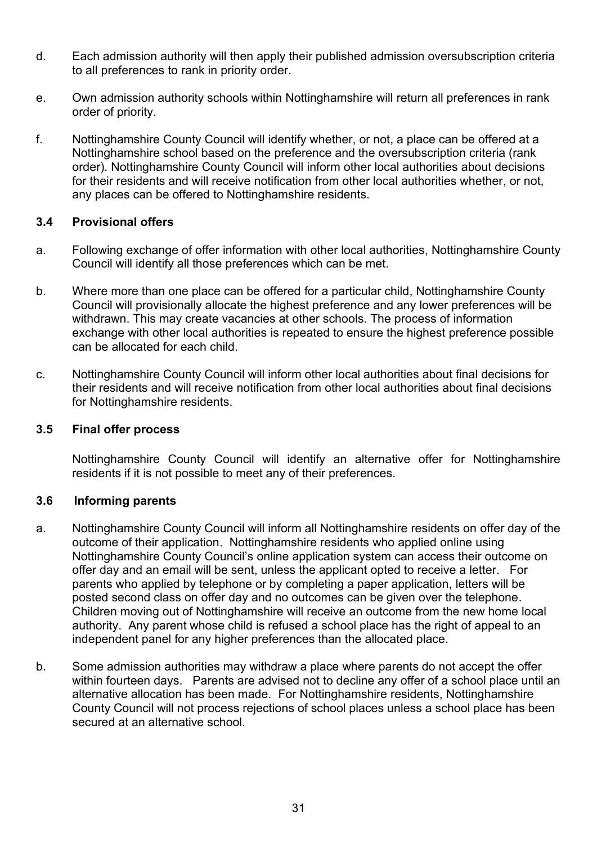- d. Each admission authority will then apply their published admission oversubscription criteria to all preferences to rank in priority order.
- e. Own admission authority schools within Nottinghamshire will return all preferences in rank order of priority.
- f. Nottinghamshire County Council will identify whether, or not, a place can be offered at a Nottinghamshire school based on the preference and the oversubscription criteria (rank order). Nottinghamshire County Council will inform other local authorities about decisions for their residents and will receive notification from other local authorities whether, or not, any places can be offered to Nottinghamshire residents.

### **3.4 Provisional offers**

- a. Following exchange of offer information with other local authorities, Nottinghamshire County Council will identify all those preferences which can be met.
- b. Where more than one place can be offered for a particular child, Nottinghamshire County Council will provisionally allocate the highest preference and any lower preferences will be withdrawn. This may create vacancies at other schools. The process of information exchange with other local authorities is repeated to ensure the highest preference possible can be allocated for each child.
- c. Nottinghamshire County Council will inform other local authorities about final decisions for their residents and will receive notification from other local authorities about final decisions for Nottinghamshire residents.

### **3.5 Final offer process**

Nottinghamshire County Council will identify an alternative offer for Nottinghamshire residents if it is not possible to meet any of their preferences.

### **3.6 Informing parents**

- a. Nottinghamshire County Council will inform all Nottinghamshire residents on offer day of the outcome of their application. Nottinghamshire residents who applied online using Nottinghamshire County Council's online application system can access their outcome on offer day and an email will be sent, unless the applicant opted to receive a letter. For parents who applied by telephone or by completing a paper application, letters will be posted second class on offer day and no outcomes can be given over the telephone. Children moving out of Nottinghamshire will receive an outcome from the new home local authority. Any parent whose child is refused a school place has the right of appeal to an independent panel for any higher preferences than the allocated place.
- b. Some admission authorities may withdraw a place where parents do not accept the offer within fourteen days. Parents are advised not to decline any offer of a school place until an alternative allocation has been made. For Nottinghamshire residents, Nottinghamshire County Council will not process rejections of school places unless a school place has been secured at an alternative school.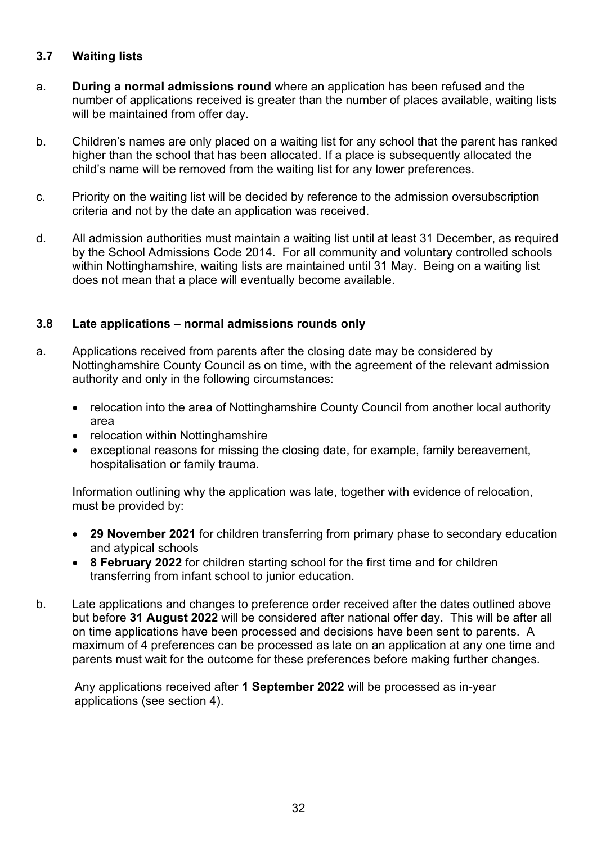# **3.7 Waiting lists**

- a. **During a normal admissions round** where an application has been refused and the number of applications received is greater than the number of places available, waiting lists will be maintained from offer day.
- b. Children's names are only placed on a waiting list for any school that the parent has ranked higher than the school that has been allocated. If a place is subsequently allocated the child's name will be removed from the waiting list for any lower preferences.
- c. Priority on the waiting list will be decided by reference to the admission oversubscription criteria and not by the date an application was received.
- d. All admission authorities must maintain a waiting list until at least 31 December, as required by the School Admissions Code 2014. For all community and voluntary controlled schools within Nottinghamshire, waiting lists are maintained until 31 May. Being on a waiting list does not mean that a place will eventually become available.

## **3.8 Late applications – normal admissions rounds only**

- a. Applications received from parents after the closing date may be considered by Nottinghamshire County Council as on time, with the agreement of the relevant admission authority and only in the following circumstances:
	- relocation into the area of Nottinghamshire County Council from another local authority area
	- relocation within Nottinghamshire
	- exceptional reasons for missing the closing date, for example, family bereavement, hospitalisation or family trauma.

Information outlining why the application was late, together with evidence of relocation, must be provided by:

- **29 November 2021** for children transferring from primary phase to secondary education and atypical schools
- **8 February 2022** for children starting school for the first time and for children transferring from infant school to junior education.
- b. Late applications and changes to preference order received after the dates outlined above but before **31 August 2022** will be considered after national offer day. This will be after all on time applications have been processed and decisions have been sent to parents. A maximum of 4 preferences can be processed as late on an application at any one time and parents must wait for the outcome for these preferences before making further changes.

Any applications received after **1 September 2022** will be processed as in-year applications (see section 4).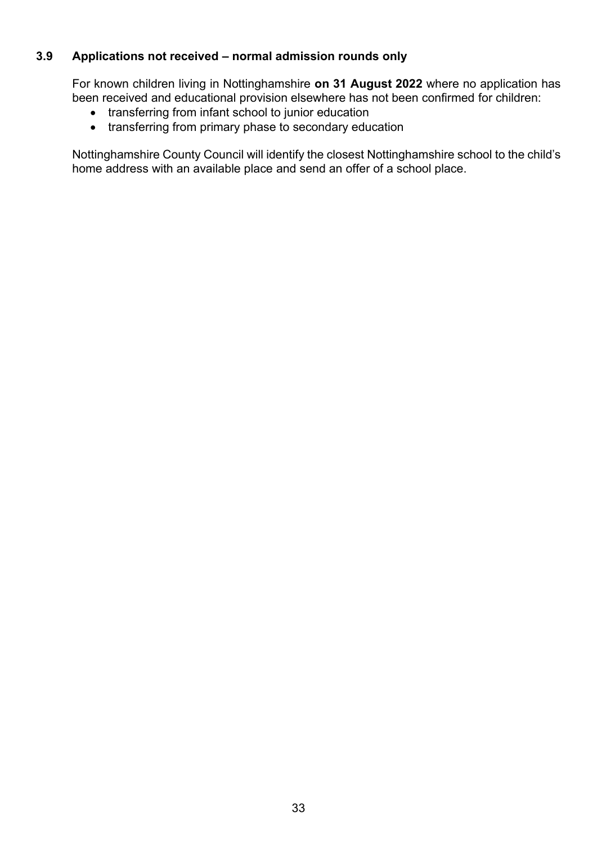# **3.9 Applications not received – normal admission rounds only**

For known children living in Nottinghamshire **on 31 August 2022** where no application has been received and educational provision elsewhere has not been confirmed for children:

- transferring from infant school to junior education
- transferring from primary phase to secondary education

Nottinghamshire County Council will identify the closest Nottinghamshire school to the child's home address with an available place and send an offer of a school place.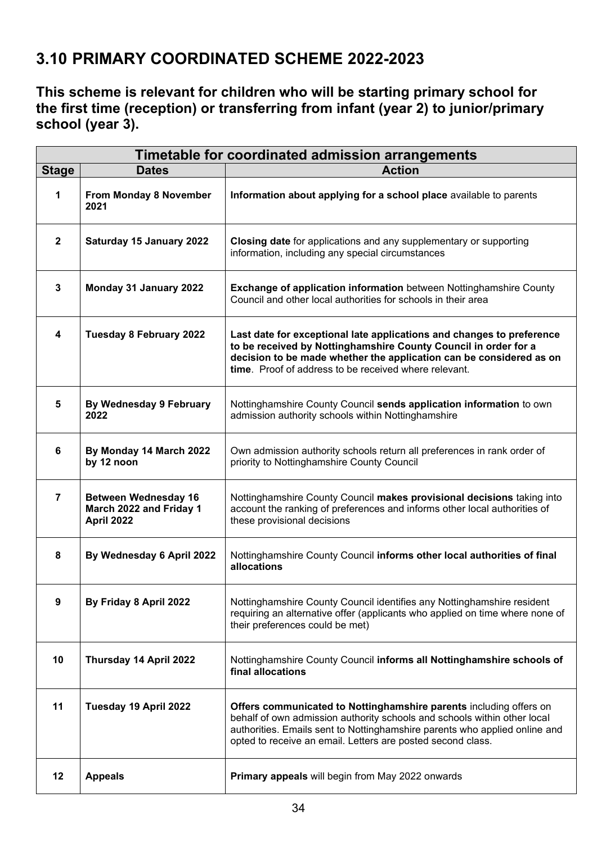# **3.10 PRIMARY COORDINATED SCHEME 2022-2023**

**This scheme is relevant for children who will be starting primary school for the first time (reception) or transferring from infant (year 2) to junior/primary school (year 3).**

| Timetable for coordinated admission arrangements |                                                                      |                                                                                                                                                                                                                                                                                             |
|--------------------------------------------------|----------------------------------------------------------------------|---------------------------------------------------------------------------------------------------------------------------------------------------------------------------------------------------------------------------------------------------------------------------------------------|
| <b>Stage</b>                                     | <b>Dates</b>                                                         | <b>Action</b>                                                                                                                                                                                                                                                                               |
| 1                                                | From Monday 8 November<br>2021                                       | Information about applying for a school place available to parents                                                                                                                                                                                                                          |
| $\overline{2}$                                   | Saturday 15 January 2022                                             | Closing date for applications and any supplementary or supporting<br>information, including any special circumstances                                                                                                                                                                       |
| $\mathbf{3}$                                     | Monday 31 January 2022                                               | <b>Exchange of application information</b> between Nottinghamshire County<br>Council and other local authorities for schools in their area                                                                                                                                                  |
| $\overline{\mathbf{4}}$                          | <b>Tuesday 8 February 2022</b>                                       | Last date for exceptional late applications and changes to preference<br>to be received by Nottinghamshire County Council in order for a<br>decision to be made whether the application can be considered as on<br>time. Proof of address to be received where relevant.                    |
| 5                                                | <b>By Wednesday 9 February</b><br>2022                               | Nottinghamshire County Council sends application information to own<br>admission authority schools within Nottinghamshire                                                                                                                                                                   |
| 6                                                | By Monday 14 March 2022<br>by 12 noon                                | Own admission authority schools return all preferences in rank order of<br>priority to Nottinghamshire County Council                                                                                                                                                                       |
| $\overline{7}$                                   | <b>Between Wednesday 16</b><br>March 2022 and Friday 1<br>April 2022 | Nottinghamshire County Council makes provisional decisions taking into<br>account the ranking of preferences and informs other local authorities of<br>these provisional decisions                                                                                                          |
| 8                                                | By Wednesday 6 April 2022                                            | Nottinghamshire County Council informs other local authorities of final<br>allocations                                                                                                                                                                                                      |
| 9                                                | By Friday 8 April 2022                                               | Nottinghamshire County Council identifies any Nottinghamshire resident<br>requiring an alternative offer (applicants who applied on time where none of<br>their preferences could be met)                                                                                                   |
| 10                                               | Thursday 14 April 2022                                               | Nottinghamshire County Council informs all Nottinghamshire schools of<br>final allocations                                                                                                                                                                                                  |
| 11                                               | Tuesday 19 April 2022                                                | Offers communicated to Nottinghamshire parents including offers on<br>behalf of own admission authority schools and schools within other local<br>authorities. Emails sent to Nottinghamshire parents who applied online and<br>opted to receive an email. Letters are posted second class. |
| 12                                               | <b>Appeals</b>                                                       | Primary appeals will begin from May 2022 onwards                                                                                                                                                                                                                                            |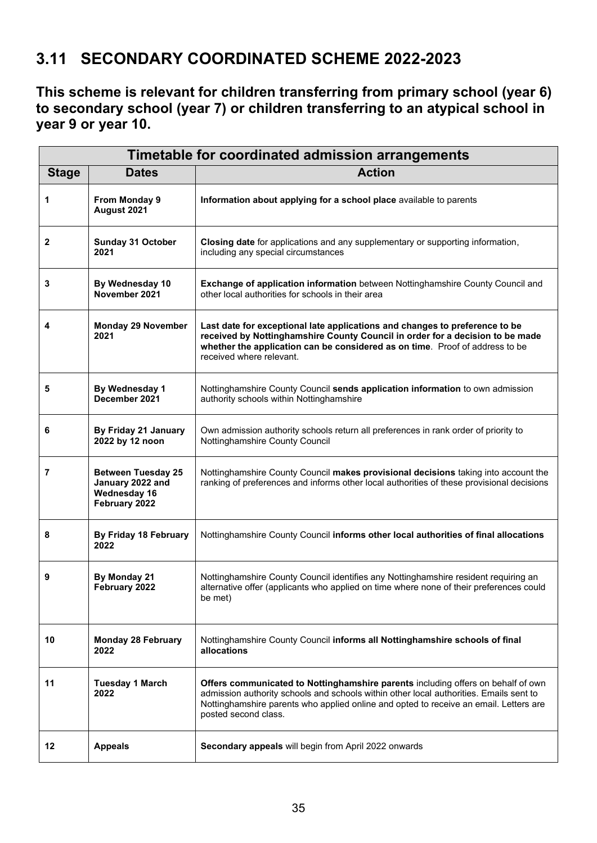# **3.11 SECONDARY COORDINATED SCHEME 2022-2023**

**This scheme is relevant for children transferring from primary school (year 6) to secondary school (year 7) or children transferring to an atypical school in year 9 or year 10.**

| Timetable for coordinated admission arrangements |                                                                                       |                                                                                                                                                                                                                                                                                             |
|--------------------------------------------------|---------------------------------------------------------------------------------------|---------------------------------------------------------------------------------------------------------------------------------------------------------------------------------------------------------------------------------------------------------------------------------------------|
| <b>Stage</b>                                     | <b>Dates</b>                                                                          | <b>Action</b>                                                                                                                                                                                                                                                                               |
| 1                                                | <b>From Monday 9</b><br>August 2021                                                   | Information about applying for a school place available to parents                                                                                                                                                                                                                          |
| 2                                                | <b>Sunday 31 October</b><br>2021                                                      | Closing date for applications and any supplementary or supporting information,<br>including any special circumstances                                                                                                                                                                       |
| 3                                                | By Wednesday 10<br>November 2021                                                      | <b>Exchange of application information</b> between Nottinghamshire County Council and<br>other local authorities for schools in their area                                                                                                                                                  |
| 4                                                | <b>Monday 29 November</b><br>2021                                                     | Last date for exceptional late applications and changes to preference to be<br>received by Nottinghamshire County Council in order for a decision to be made<br>whether the application can be considered as on time. Proof of address to be<br>received where relevant.                    |
| 5                                                | By Wednesday 1<br>December 2021                                                       | Nottinghamshire County Council sends application information to own admission<br>authority schools within Nottinghamshire                                                                                                                                                                   |
| 6                                                | By Friday 21 January<br>2022 by 12 noon                                               | Own admission authority schools return all preferences in rank order of priority to<br>Nottinghamshire County Council                                                                                                                                                                       |
| 7                                                | <b>Between Tuesday 25</b><br>January 2022 and<br><b>Wednesday 16</b><br>February 2022 | Nottinghamshire County Council makes provisional decisions taking into account the<br>ranking of preferences and informs other local authorities of these provisional decisions                                                                                                             |
| 8                                                | By Friday 18 February<br>2022                                                         | Nottinghamshire County Council informs other local authorities of final allocations                                                                                                                                                                                                         |
| 9                                                | By Monday 21<br>February 2022                                                         | Nottinghamshire County Council identifies any Nottinghamshire resident requiring an<br>alternative offer (applicants who applied on time where none of their preferences could<br>be met)                                                                                                   |
| 10                                               | <b>Monday 28 February</b><br>2022                                                     | Nottinghamshire County Council informs all Nottinghamshire schools of final<br>allocations                                                                                                                                                                                                  |
| 11                                               | <b>Tuesday 1 March</b><br>2022                                                        | Offers communicated to Nottinghamshire parents including offers on behalf of own<br>admission authority schools and schools within other local authorities. Emails sent to<br>Nottinghamshire parents who applied online and opted to receive an email. Letters are<br>posted second class. |
| 12                                               | <b>Appeals</b>                                                                        | Secondary appeals will begin from April 2022 onwards                                                                                                                                                                                                                                        |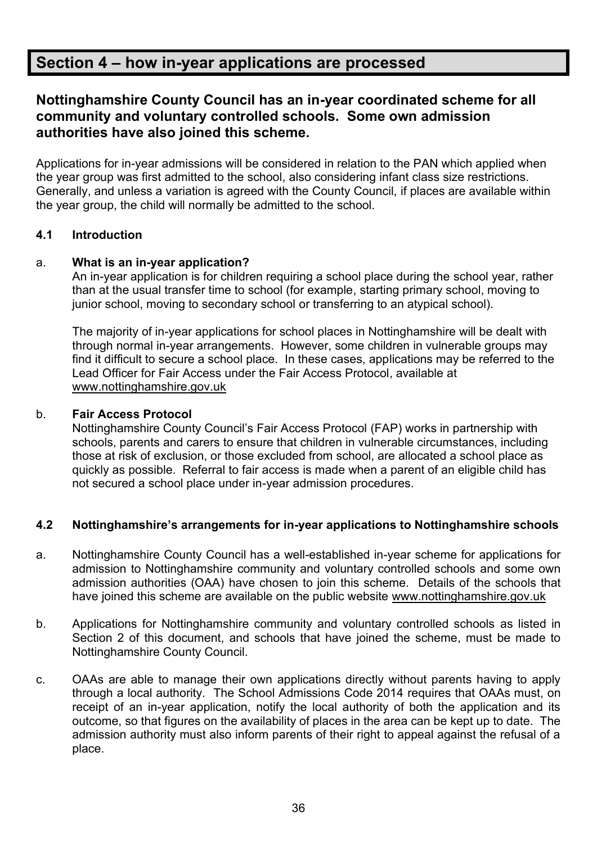# **Section 4 – how in-year applications are processed**

# **Nottinghamshire County Council has an in-year coordinated scheme for all community and voluntary controlled schools. Some own admission authorities have also joined this scheme.**

Applications for in-year admissions will be considered in relation to the PAN which applied when the year group was first admitted to the school, also considering infant class size restrictions. Generally, and unless a variation is agreed with the County Council, if places are available within the year group, the child will normally be admitted to the school.

## **4.1 Introduction**

### a. **What is an in-year application?**

An in-year application is for children requiring a school place during the school year, rather than at the usual transfer time to school (for example, starting primary school, moving to junior school, moving to secondary school or transferring to an atypical school).

The majority of in-year applications for school places in Nottinghamshire will be dealt with through normal in-year arrangements. However, some children in vulnerable groups may find it difficult to secure a school place. In these cases, applications may be referred to the Lead Officer for Fair Access under the Fair Access Protocol, available at [www.nottinghamshire.gov.uk](http://www.nottinghamshire.gov.uk/)

#### b. **Fair Access Protocol**

Nottinghamshire County Council's Fair Access Protocol (FAP) works in partnership with schools, parents and carers to ensure that children in vulnerable circumstances, including those at risk of exclusion, or those excluded from school, are allocated a school place as quickly as possible. Referral to fair access is made when a parent of an eligible child has not secured a school place under in-year admission procedures.

### **4.2 Nottinghamshire's arrangements for in-year applications to Nottinghamshire schools**

- a. Nottinghamshire County Council has a well-established in-year scheme for applications for admission to Nottinghamshire community and voluntary controlled schools and some own admission authorities (OAA) have chosen to join this scheme. Details of the schools that have joined this scheme are available on the public website [www.nottinghamshire.gov.uk](http://www.nottinghamshire.gov.uk/)
- b. Applications for Nottinghamshire community and voluntary controlled schools as listed in Section 2 of this document, and schools that have joined the scheme, must be made to Nottinghamshire County Council.
- c. OAAs are able to manage their own applications directly without parents having to apply through a local authority. The School Admissions Code 2014 requires that OAAs must, on receipt of an in-year application, notify the local authority of both the application and its outcome, so that figures on the availability of places in the area can be kept up to date. The admission authority must also inform parents of their right to appeal against the refusal of a place.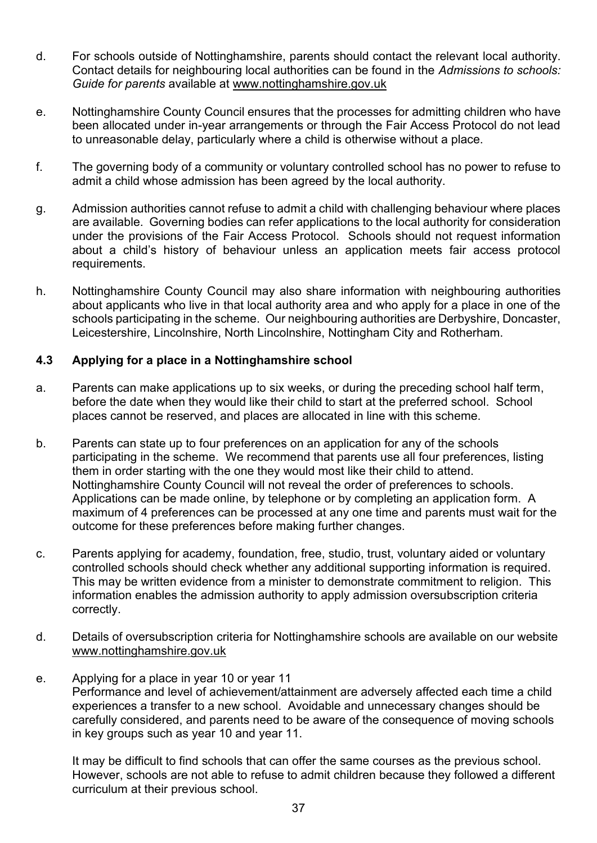- d. For schools outside of Nottinghamshire, parents should contact the relevant local authority. Contact details for neighbouring local authorities can be found in the *Admissions to schools: Guide for parents* available at [www.nottinghamshire.gov.uk](http://www.nottinghamshire.gov.uk/)
- e. Nottinghamshire County Council ensures that the processes for admitting children who have been allocated under in-year arrangements or through the Fair Access Protocol do not lead to unreasonable delay, particularly where a child is otherwise without a place.
- f. The governing body of a community or voluntary controlled school has no power to refuse to admit a child whose admission has been agreed by the local authority.
- g. Admission authorities cannot refuse to admit a child with challenging behaviour where places are available. Governing bodies can refer applications to the local authority for consideration under the provisions of the Fair Access Protocol. Schools should not request information about a child's history of behaviour unless an application meets fair access protocol requirements.
- h. Nottinghamshire County Council may also share information with neighbouring authorities about applicants who live in that local authority area and who apply for a place in one of the schools participating in the scheme. Our neighbouring authorities are Derbyshire, Doncaster, Leicestershire, Lincolnshire, North Lincolnshire, Nottingham City and Rotherham.

### **4.3 Applying for a place in a Nottinghamshire school**

- a. Parents can make applications up to six weeks, or during the preceding school half term, before the date when they would like their child to start at the preferred school. School places cannot be reserved, and places are allocated in line with this scheme.
- b. Parents can state up to four preferences on an application for any of the schools participating in the scheme. We recommend that parents use all four preferences, listing them in order starting with the one they would most like their child to attend. Nottinghamshire County Council will not reveal the order of preferences to schools. Applications can be made online, by telephone or by completing an application form. A maximum of 4 preferences can be processed at any one time and parents must wait for the outcome for these preferences before making further changes.
- c. Parents applying for academy, foundation, free, studio, trust, voluntary aided or voluntary controlled schools should check whether any additional supporting information is required. This may be written evidence from a minister to demonstrate commitment to religion. This information enables the admission authority to apply admission oversubscription criteria correctly.
- d. Details of oversubscription criteria for Nottinghamshire schools are available on our website [www.nottinghamshire.gov.uk](http://www.nottinghamshire.gov.uk/)
- e. Applying for a place in year 10 or year 11 Performance and level of achievement/attainment are adversely affected each time a child experiences a transfer to a new school. Avoidable and unnecessary changes should be carefully considered, and parents need to be aware of the consequence of moving schools in key groups such as year 10 and year 11.

It may be difficult to find schools that can offer the same courses as the previous school. However, schools are not able to refuse to admit children because they followed a different curriculum at their previous school.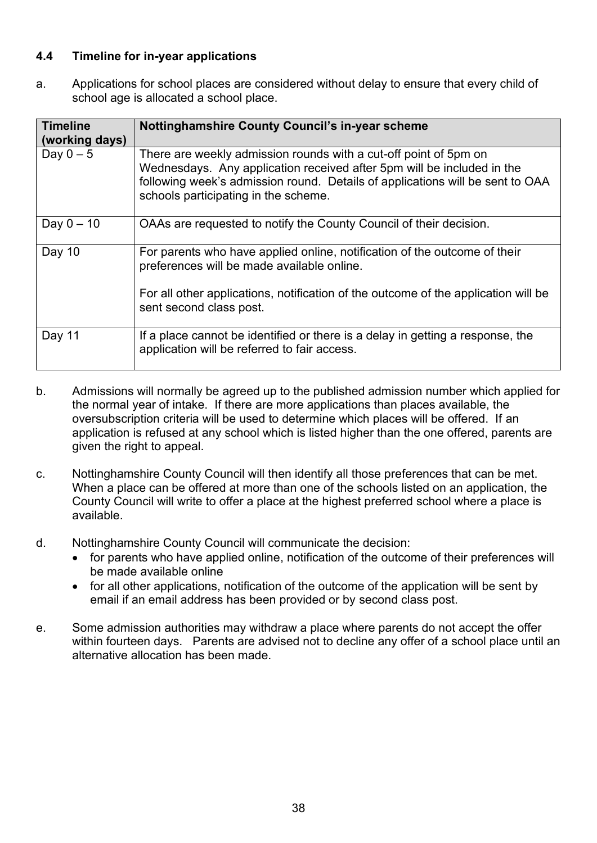## **4.4 Timeline for in-year applications**

a. Applications for school places are considered without delay to ensure that every child of school age is allocated a school place.

| <b>Timeline</b><br>(working days) | <b>Nottinghamshire County Council's in-year scheme</b>                                                                                                                                                                                                              |
|-----------------------------------|---------------------------------------------------------------------------------------------------------------------------------------------------------------------------------------------------------------------------------------------------------------------|
| Day $0-5$                         | There are weekly admission rounds with a cut-off point of 5pm on<br>Wednesdays. Any application received after 5pm will be included in the<br>following week's admission round. Details of applications will be sent to OAA<br>schools participating in the scheme. |
| Day $0 - 10$                      | OAAs are requested to notify the County Council of their decision.                                                                                                                                                                                                  |
| Day 10                            | For parents who have applied online, notification of the outcome of their<br>preferences will be made available online.                                                                                                                                             |
|                                   | For all other applications, notification of the outcome of the application will be<br>sent second class post.                                                                                                                                                       |
| Day 11                            | If a place cannot be identified or there is a delay in getting a response, the<br>application will be referred to fair access.                                                                                                                                      |

- b. Admissions will normally be agreed up to the published admission number which applied for the normal year of intake. If there are more applications than places available, the oversubscription criteria will be used to determine which places will be offered. If an application is refused at any school which is listed higher than the one offered, parents are given the right to appeal.
- c. Nottinghamshire County Council will then identify all those preferences that can be met. When a place can be offered at more than one of the schools listed on an application, the County Council will write to offer a place at the highest preferred school where a place is available.
- d. Nottinghamshire County Council will communicate the decision:
	- for parents who have applied online, notification of the outcome of their preferences will be made available online
	- for all other applications, notification of the outcome of the application will be sent by email if an email address has been provided or by second class post.
- e. Some admission authorities may withdraw a place where parents do not accept the offer within fourteen days. Parents are advised not to decline any offer of a school place until an alternative allocation has been made.